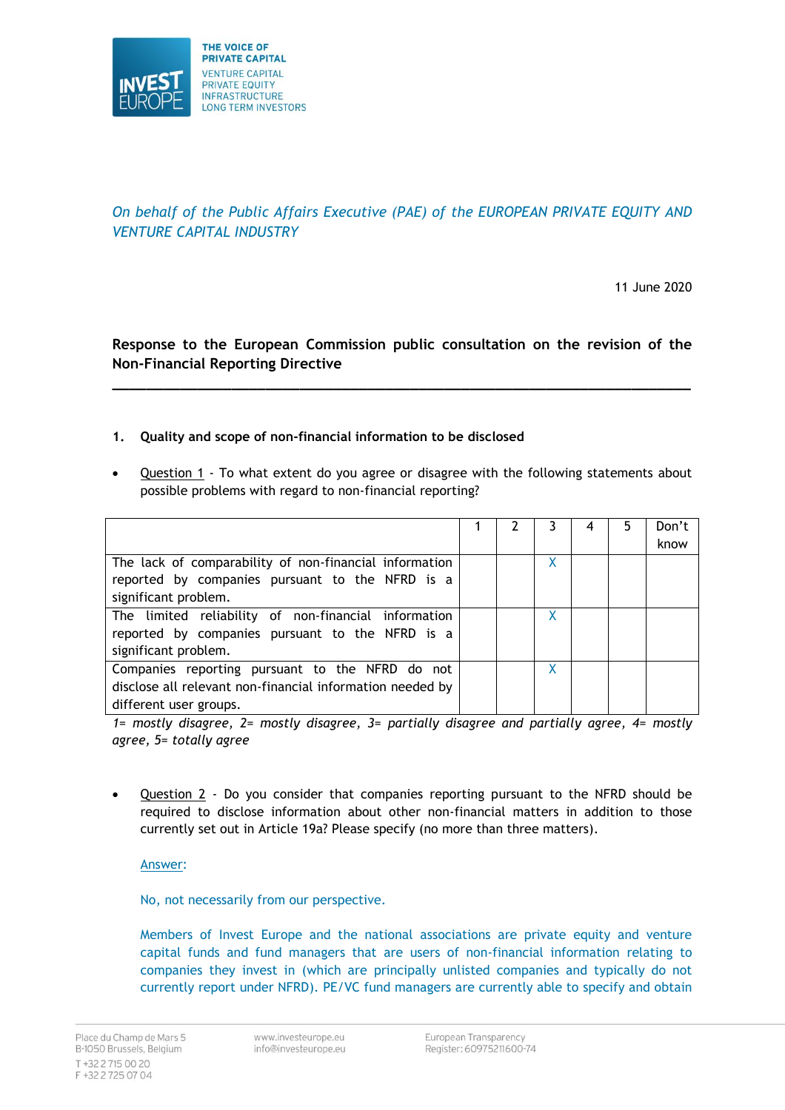

# *On behalf of the Public Affairs Executive (PAE) of the EUROPEAN PRIVATE EQUITY AND VENTURE CAPITAL INDUSTRY*

11 June 2020

**Response to the European Commission public consultation on the revision of the Non-Financial Reporting Directive**

**\_\_\_\_\_\_\_\_\_\_\_\_\_\_\_\_\_\_\_\_\_\_\_\_\_\_\_\_\_\_\_\_\_\_\_\_\_\_\_\_\_\_\_\_\_\_\_\_\_\_\_\_\_\_\_\_\_\_\_\_\_\_\_\_\_\_\_\_**

### **1. Quality and scope of non-financial information to be disclosed**

• Question 1 - To what extent do you agree or disagree with the following statements about possible problems with regard to non-financial reporting?

|                                                           |  |   | 5. | Don't |
|-----------------------------------------------------------|--|---|----|-------|
|                                                           |  |   |    | know  |
| The lack of comparability of non-financial information    |  | Χ |    |       |
| reported by companies pursuant to the NFRD is a           |  |   |    |       |
| significant problem.                                      |  |   |    |       |
| The limited reliability of non-financial information      |  |   |    |       |
| reported by companies pursuant to the NFRD is a           |  |   |    |       |
| significant problem.                                      |  |   |    |       |
| Companies reporting pursuant to the NFRD do not           |  | X |    |       |
| disclose all relevant non-financial information needed by |  |   |    |       |
| different user groups.                                    |  |   |    |       |

*1= mostly disagree, 2= mostly disagree, 3= partially disagree and partially agree, 4= mostly agree, 5= totally agree*

• Question 2 - Do you consider that companies reporting pursuant to the NFRD should be required to disclose information about other non-financial matters in addition to those currently set out in Article 19a? Please specify (no more than three matters).

Answer:

No, not necessarily from our perspective.

Members of Invest Europe and the national associations are private equity and venture capital funds and fund managers that are users of non-financial information relating to companies they invest in (which are principally unlisted companies and typically do not currently report under NFRD). PE/VC fund managers are currently able to specify and obtain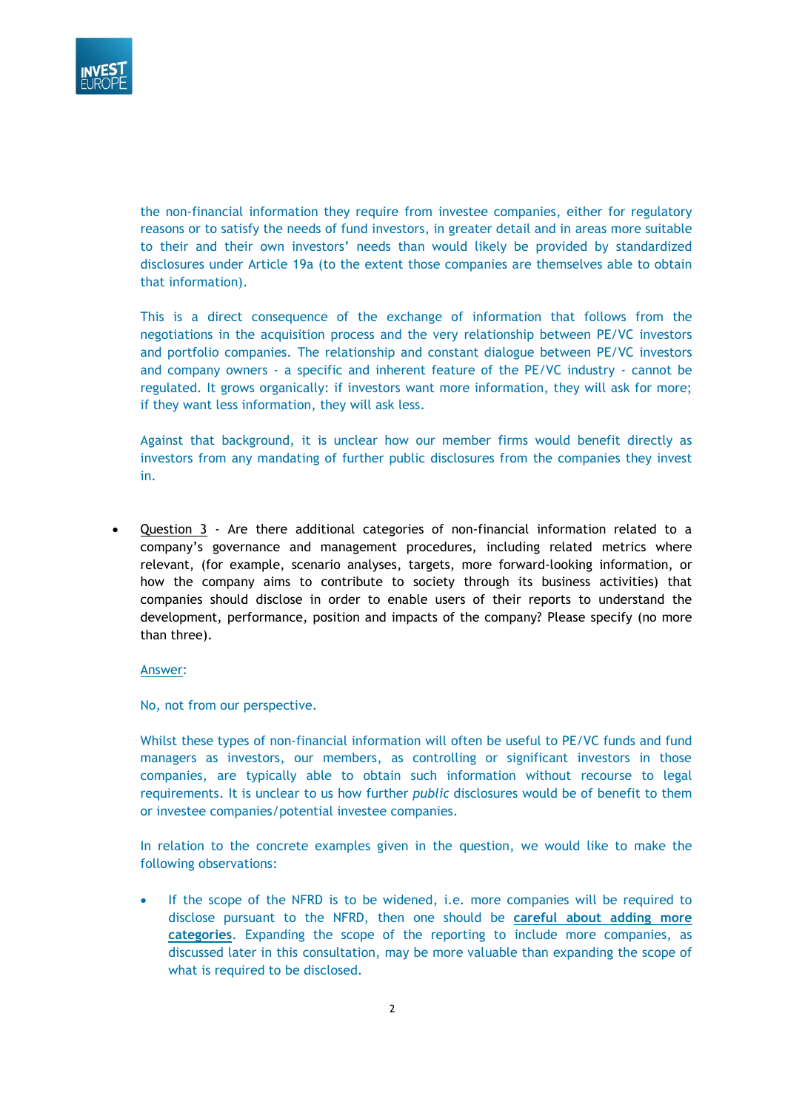

the non-financial information they require from investee companies, either for regulatory reasons or to satisfy the needs of fund investors, in greater detail and in areas more suitable to their and their own investors' needs than would likely be provided by standardized disclosures under Article 19a (to the extent those companies are themselves able to obtain that information).

This is a direct consequence of the exchange of information that follows from the negotiations in the acquisition process and the very relationship between PE/VC investors and portfolio companies. The relationship and constant dialogue between PE/VC investors and company owners - a specific and inherent feature of the PE/VC industry - cannot be regulated. It grows organically: if investors want more information, they will ask for more; if they want less information, they will ask less.

Against that background, it is unclear how our member firms would benefit directly as investors from any mandating of further public disclosures from the companies they invest in.

• Question 3 - Are there additional categories of non-financial information related to a company's governance and management procedures, including related metrics where relevant, (for example, scenario analyses, targets, more forward-looking information, or how the company aims to contribute to society through its business activities) that companies should disclose in order to enable users of their reports to understand the development, performance, position and impacts of the company? Please specify (no more than three).

#### Answer:

No, not from our perspective.

Whilst these types of non-financial information will often be useful to PE/VC funds and fund managers as investors, our members, as controlling or significant investors in those companies, are typically able to obtain such information without recourse to legal requirements. It is unclear to us how further *public* disclosures would be of benefit to them or investee companies/potential investee companies.

In relation to the concrete examples given in the question, we would like to make the following observations:

If the scope of the NFRD is to be widened, i.e. more companies will be required to disclose pursuant to the NFRD, then one should be **careful about adding more categories**. Expanding the scope of the reporting to include more companies, as discussed later in this consultation, may be more valuable than expanding the scope of what is required to be disclosed.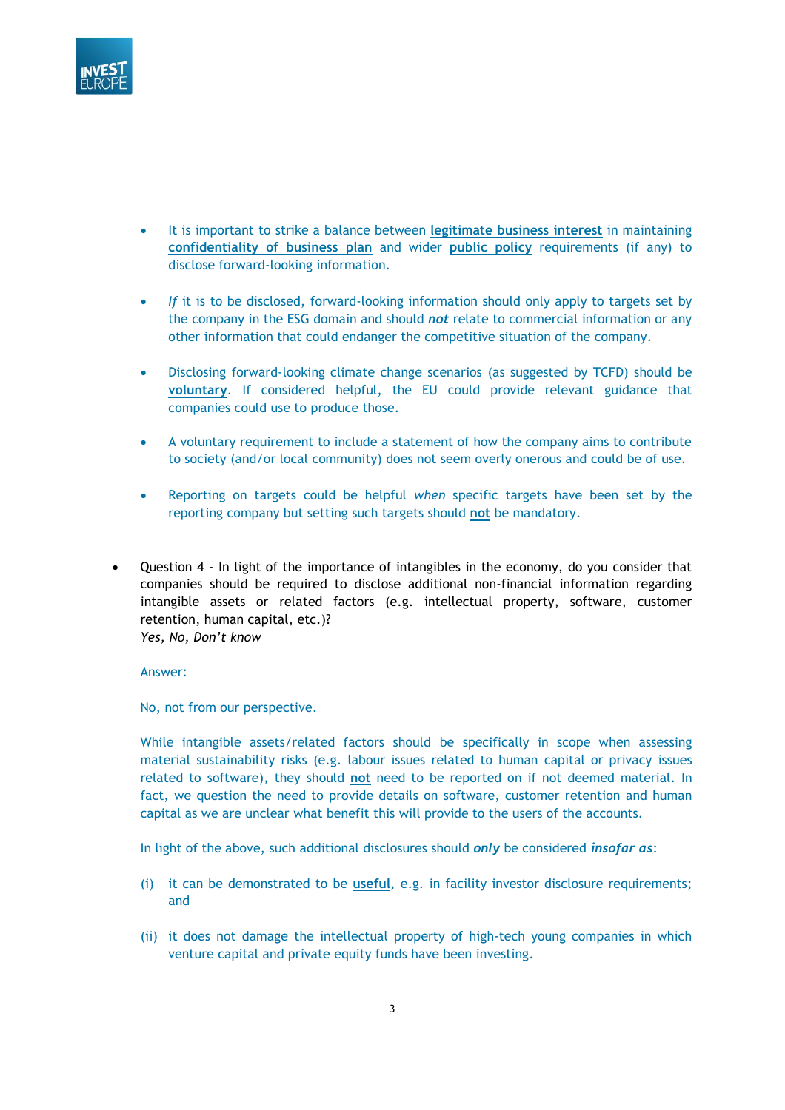

- It is important to strike a balance between **legitimate business interest** in maintaining **confidentiality of business plan** and wider **public policy** requirements (if any) to disclose forward-looking information.
- *If* it is to be disclosed, forward-looking information should only apply to targets set by the company in the ESG domain and should *not* relate to commercial information or any other information that could endanger the competitive situation of the company.
- Disclosing forward-looking climate change scenarios (as suggested by TCFD) should be **voluntary**. If considered helpful, the EU could provide relevant guidance that companies could use to produce those.
- A voluntary requirement to include a statement of how the company aims to contribute to society (and/or local community) does not seem overly onerous and could be of use.
- Reporting on targets could be helpful *when* specific targets have been set by the reporting company but setting such targets should **not** be mandatory.
- Question 4 In light of the importance of intangibles in the economy, do you consider that companies should be required to disclose additional non-financial information regarding intangible assets or related factors (e.g. intellectual property, software, customer retention, human capital, etc.)? *Yes, No, Don't know*

No, not from our perspective.

While intangible assets/related factors should be specifically in scope when assessing material sustainability risks (e.g. labour issues related to human capital or privacy issues related to software), they should **not** need to be reported on if not deemed material. In fact, we question the need to provide details on software, customer retention and human capital as we are unclear what benefit this will provide to the users of the accounts.

In light of the above, such additional disclosures should *only* be considered *insofar as*:

- (i) it can be demonstrated to be **useful**, e.g. in facility investor disclosure requirements; and
- (ii) it does not damage the intellectual property of high-tech young companies in which venture capital and private equity funds have been investing.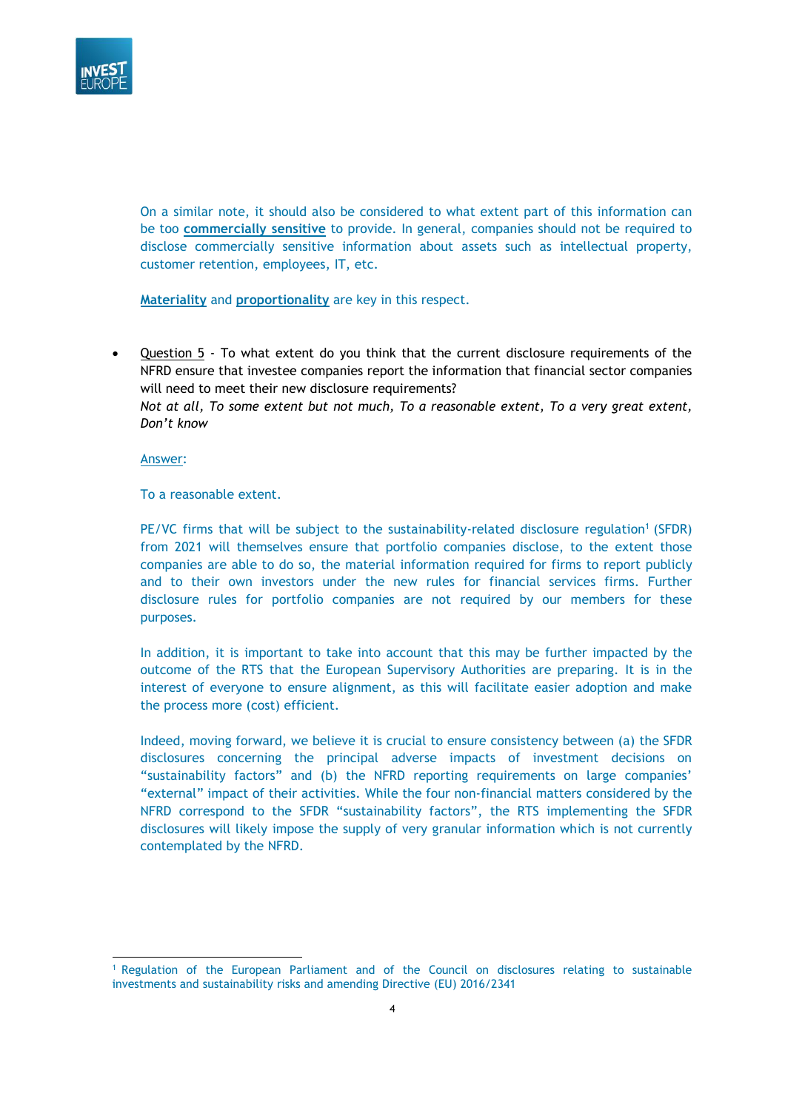

On a similar note, it should also be considered to what extent part of this information can be too **commercially sensitive** to provide. In general, companies should not be required to disclose commercially sensitive information about assets such as intellectual property, customer retention, employees, IT, etc.

**Materiality** and **proportionality** are key in this respect.

• Question 5 - To what extent do you think that the current disclosure requirements of the NFRD ensure that investee companies report the information that financial sector companies will need to meet their new disclosure requirements?

*Not at all, To some extent but not much, To a reasonable extent, To a very great extent, Don't know*

Answer:

To a reasonable extent.

PE/VC firms that will be subject to the sustainability-related disclosure regulation<sup>1</sup> (SFDR) from 2021 will themselves ensure that portfolio companies disclose, to the extent those companies are able to do so, the material information required for firms to report publicly and to their own investors under the new rules for financial services firms. Further disclosure rules for portfolio companies are not required by our members for these purposes.

In addition, it is important to take into account that this may be further impacted by the outcome of the RTS that the European Supervisory Authorities are preparing. It is in the interest of everyone to ensure alignment, as this will facilitate easier adoption and make the process more (cost) efficient.

Indeed, moving forward, we believe it is crucial to ensure consistency between (a) the SFDR disclosures concerning the principal adverse impacts of investment decisions on "sustainability factors" and (b) the NFRD reporting requirements on large companies' "external" impact of their activities. While the four non-financial matters considered by the NFRD correspond to the SFDR "sustainability factors", the RTS implementing the SFDR disclosures will likely impose the supply of very granular information which is not currently contemplated by the NFRD.

<sup>1</sup> Regulation of the European Parliament and of the Council on disclosures relating to sustainable investments and sustainability risks and amending Directive (EU) 2016/2341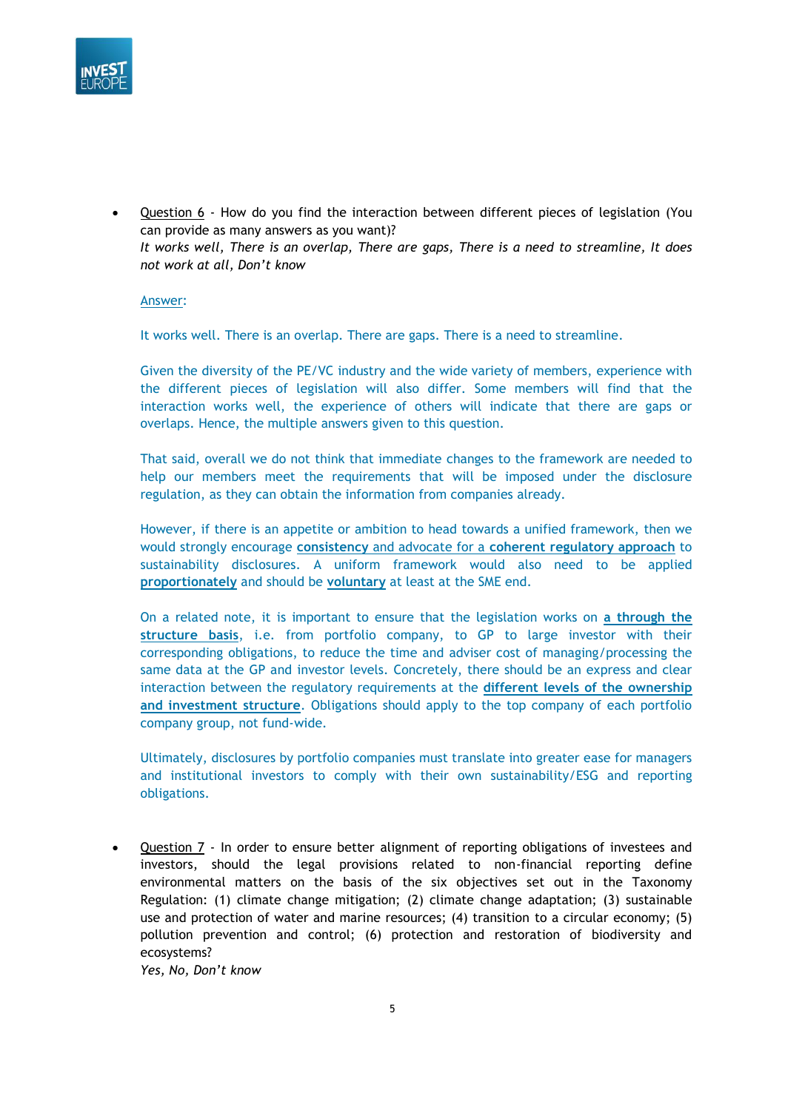

• Question 6 - How do you find the interaction between different pieces of legislation (You can provide as many answers as you want)? *It works well, There is an overlap, There are gaps, There is a need to streamline, It does not work at all, Don't know*

Answer:

It works well. There is an overlap. There are gaps. There is a need to streamline.

Given the diversity of the PE/VC industry and the wide variety of members, experience with the different pieces of legislation will also differ. Some members will find that the interaction works well, the experience of others will indicate that there are gaps or overlaps. Hence, the multiple answers given to this question.

That said, overall we do not think that immediate changes to the framework are needed to help our members meet the requirements that will be imposed under the disclosure regulation, as they can obtain the information from companies already.

However, if there is an appetite or ambition to head towards a unified framework, then we would strongly encourage **consistency** and advocate for a **coherent regulatory approach** to sustainability disclosures. A uniform framework would also need to be applied **proportionately** and should be **voluntary** at least at the SME end.

On a related note, it is important to ensure that the legislation works on **a through the structure basis**, i.e. from portfolio company, to GP to large investor with their corresponding obligations, to reduce the time and adviser cost of managing/processing the same data at the GP and investor levels. Concretely, there should be an express and clear interaction between the regulatory requirements at the **different levels of the ownership and investment structure**. Obligations should apply to the top company of each portfolio company group, not fund-wide.

Ultimately, disclosures by portfolio companies must translate into greater ease for managers and institutional investors to comply with their own sustainability/ESG and reporting obligations.

• Question 7 - In order to ensure better alignment of reporting obligations of investees and investors, should the legal provisions related to non-financial reporting define environmental matters on the basis of the six objectives set out in the Taxonomy Regulation: (1) climate change mitigation; (2) climate change adaptation; (3) sustainable use and protection of water and marine resources; (4) transition to a circular economy; (5) pollution prevention and control; (6) protection and restoration of biodiversity and ecosystems?

*Yes, No, Don't know*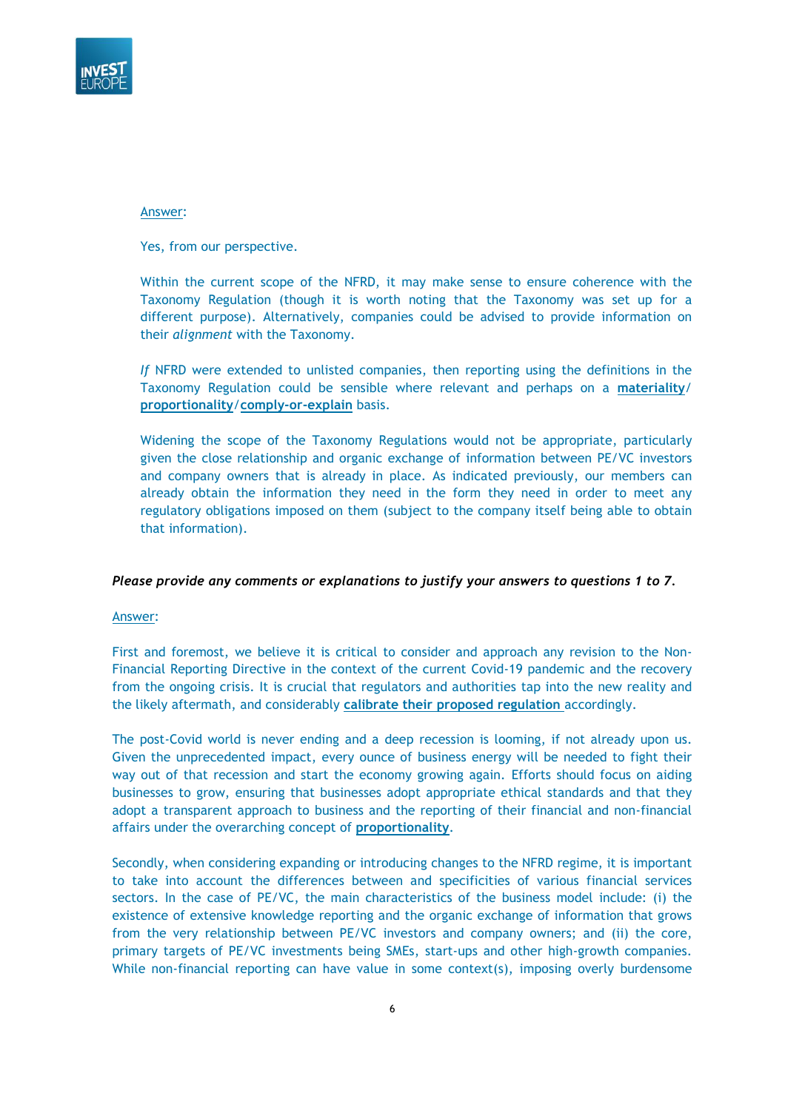

Yes, from our perspective.

Within the current scope of the NFRD, it may make sense to ensure coherence with the Taxonomy Regulation (though it is worth noting that the Taxonomy was set up for a different purpose). Alternatively, companies could be advised to provide information on their *alignment* with the Taxonomy.

*If* NFRD were extended to unlisted companies, then reporting using the definitions in the Taxonomy Regulation could be sensible where relevant and perhaps on a **materiality**/ **proportionality**/**comply-or-explain** basis.

Widening the scope of the Taxonomy Regulations would not be appropriate, particularly given the close relationship and organic exchange of information between PE/VC investors and company owners that is already in place. As indicated previously, our members can already obtain the information they need in the form they need in order to meet any regulatory obligations imposed on them (subject to the company itself being able to obtain that information).

### *Please provide any comments or explanations to justify your answers to questions 1 to 7.*

Answer:

First and foremost, we believe it is critical to consider and approach any revision to the Non-Financial Reporting Directive in the context of the current Covid-19 pandemic and the recovery from the ongoing crisis. It is crucial that regulators and authorities tap into the new reality and the likely aftermath, and considerably **calibrate their proposed regulation** accordingly.

The post-Covid world is never ending and a deep recession is looming, if not already upon us. Given the unprecedented impact, every ounce of business energy will be needed to fight their way out of that recession and start the economy growing again. Efforts should focus on aiding businesses to grow, ensuring that businesses adopt appropriate ethical standards and that they adopt a transparent approach to business and the reporting of their financial and non-financial affairs under the overarching concept of **proportionality**.

Secondly, when considering expanding or introducing changes to the NFRD regime, it is important to take into account the differences between and specificities of various financial services sectors. In the case of PE/VC, the main characteristics of the business model include: (i) the existence of extensive knowledge reporting and the organic exchange of information that grows from the very relationship between PE/VC investors and company owners; and (ii) the core, primary targets of PE/VC investments being SMEs, start-ups and other high-growth companies. While non-financial reporting can have value in some context(s), imposing overly burdensome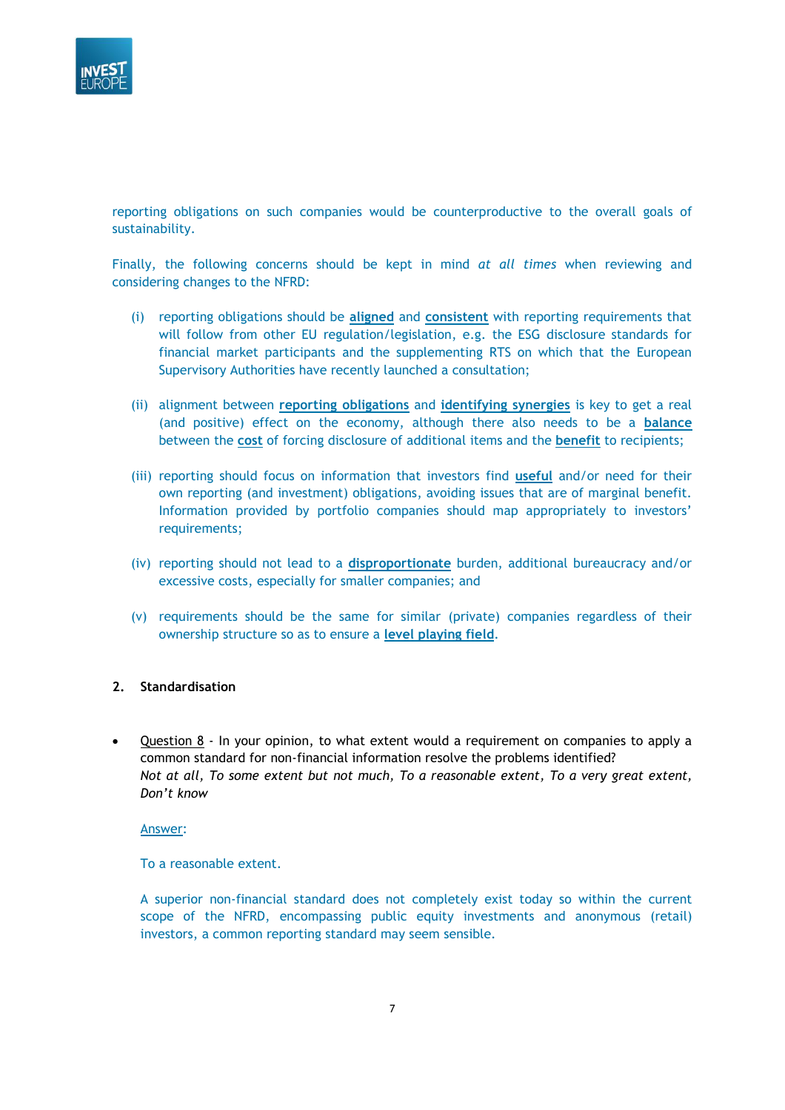

reporting obligations on such companies would be counterproductive to the overall goals of sustainability.

Finally, the following concerns should be kept in mind *at all times* when reviewing and considering changes to the NFRD:

- (i) reporting obligations should be **aligned** and **consistent** with reporting requirements that will follow from other EU regulation/legislation, e.g. the ESG disclosure standards for financial market participants and the supplementing RTS on which that the European Supervisory Authorities have recently launched a consultation;
- (ii) alignment between **reporting obligations** and **identifying synergies** is key to get a real (and positive) effect on the economy, although there also needs to be a **balance** between the **cost** of forcing disclosure of additional items and the **benefit** to recipients;
- (iii) reporting should focus on information that investors find **useful** and/or need for their own reporting (and investment) obligations, avoiding issues that are of marginal benefit. Information provided by portfolio companies should map appropriately to investors' requirements;
- (iv) reporting should not lead to a **disproportionate** burden, additional bureaucracy and/or excessive costs, especially for smaller companies; and
- (v) requirements should be the same for similar (private) companies regardless of their ownership structure so as to ensure a **level playing field**.

### **2. Standardisation**

• Question 8 - In your opinion, to what extent would a requirement on companies to apply a common standard for non-financial information resolve the problems identified? *Not at all, To some extent but not much, To a reasonable extent, To a very great extent, Don't know*

Answer:

To a reasonable extent.

A superior non-financial standard does not completely exist today so within the current scope of the NFRD, encompassing public equity investments and anonymous (retail) investors, a common reporting standard may seem sensible.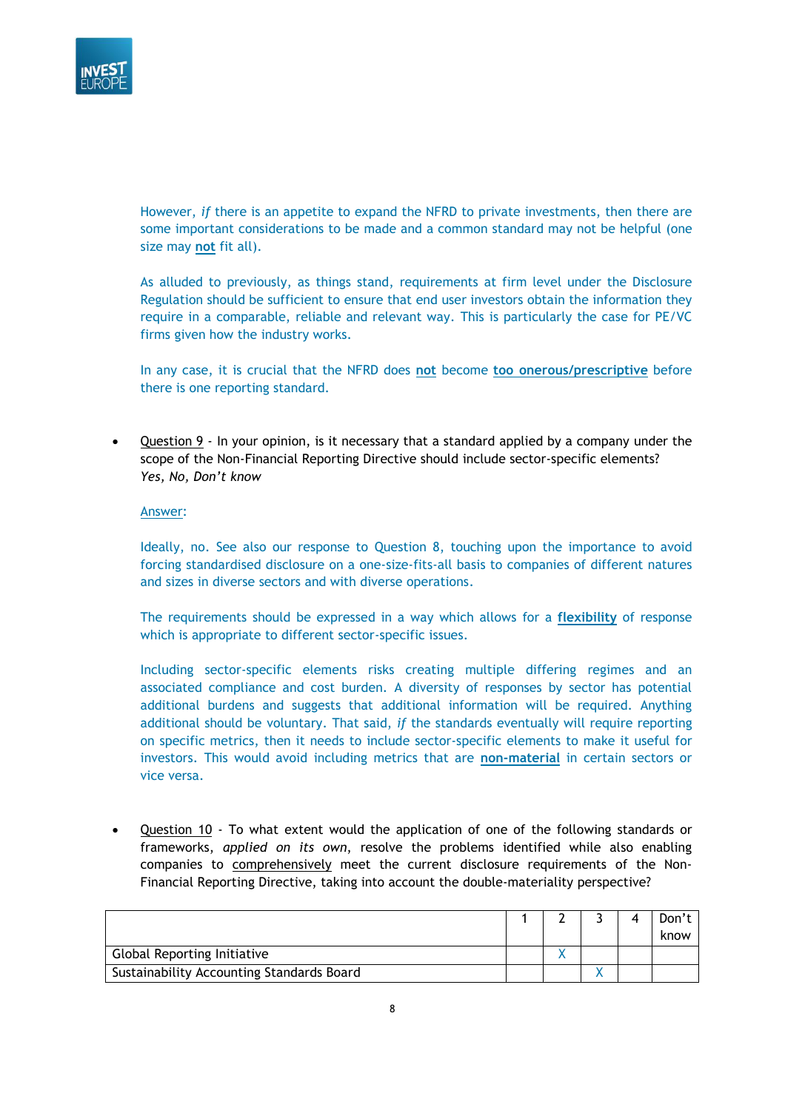

However, *if* there is an appetite to expand the NFRD to private investments, then there are some important considerations to be made and a common standard may not be helpful (one size may **not** fit all).

As alluded to previously, as things stand, requirements at firm level under the Disclosure Regulation should be sufficient to ensure that end user investors obtain the information they require in a comparable, reliable and relevant way. This is particularly the case for PE/VC firms given how the industry works.

In any case, it is crucial that the NFRD does **not** become **too onerous/prescriptive** before there is one reporting standard.

• Question 9 - In your opinion, is it necessary that a standard applied by a company under the scope of the Non-Financial Reporting Directive should include sector-specific elements? *Yes, No, Don't know*

#### Answer:

Ideally, no. See also our response to Question 8, touching upon the importance to avoid forcing standardised disclosure on a one-size-fits-all basis to companies of different natures and sizes in diverse sectors and with diverse operations.

The requirements should be expressed in a way which allows for a **flexibility** of response which is appropriate to different sector-specific issues.

Including sector-specific elements risks creating multiple differing regimes and an associated compliance and cost burden. A diversity of responses by sector has potential additional burdens and suggests that additional information will be required. Anything additional should be voluntary. That said, *if* the standards eventually will require reporting on specific metrics, then it needs to include sector-specific elements to make it useful for investors. This would avoid including metrics that are **non-material** in certain sectors or vice versa.

• Question 10 - To what extent would the application of one of the following standards or frameworks, *applied on its own*, resolve the problems identified while also enabling companies to comprehensively meet the current disclosure requirements of the Non-Financial Reporting Directive, taking into account the double-materiality perspective?

|                                           |  |  | Don't |
|-------------------------------------------|--|--|-------|
|                                           |  |  | know  |
| <b>Global Reporting Initiative</b>        |  |  |       |
| Sustainability Accounting Standards Board |  |  |       |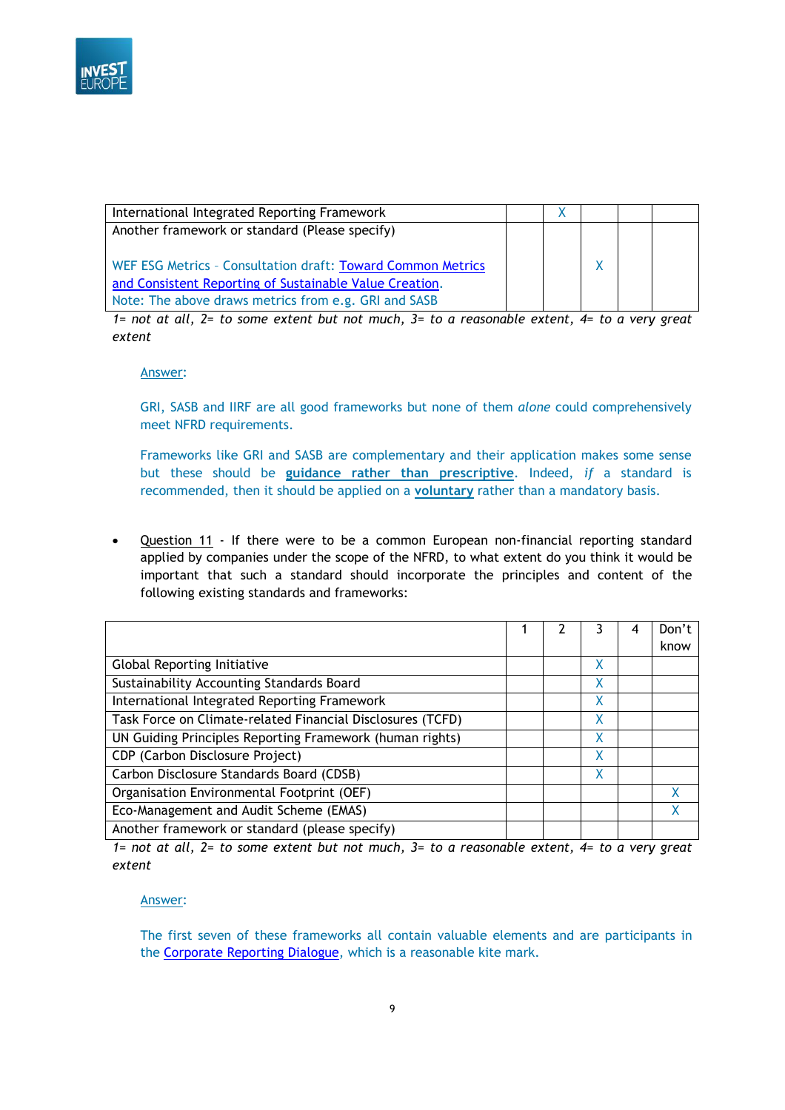

| International Integrated Reporting Framework                |  |  |  |
|-------------------------------------------------------------|--|--|--|
| Another framework or standard (Please specify)              |  |  |  |
|                                                             |  |  |  |
| WEF ESG Metrics - Consultation draft: Toward Common Metrics |  |  |  |
| and Consistent Reporting of Sustainable Value Creation.     |  |  |  |
| Note: The above draws metrics from e.g. GRI and SASB        |  |  |  |

*1= not at all, 2= to some extent but not much, 3= to a reasonable extent, 4= to a very great extent*

Answer:

GRI, SASB and IIRF are all good frameworks but none of them *alone* could comprehensively meet NFRD requirements.

Frameworks like GRI and SASB are complementary and their application makes some sense but these should be **guidance rather than prescriptive**. Indeed, *if* a standard is recommended, then it should be applied on a **voluntary** rather than a mandatory basis.

• Question 11 - If there were to be a common European non-financial reporting standard applied by companies under the scope of the NFRD, to what extent do you think it would be important that such a standard should incorporate the principles and content of the following existing standards and frameworks:

|                                                            |  |   | Don't |
|------------------------------------------------------------|--|---|-------|
|                                                            |  |   | know  |
| <b>Global Reporting Initiative</b>                         |  | x |       |
| Sustainability Accounting Standards Board                  |  | X |       |
| International Integrated Reporting Framework               |  | X |       |
| Task Force on Climate-related Financial Disclosures (TCFD) |  | X |       |
| UN Guiding Principles Reporting Framework (human rights)   |  | X |       |
| CDP (Carbon Disclosure Project)                            |  | x |       |
| Carbon Disclosure Standards Board (CDSB)                   |  | x |       |
| Organisation Environmental Footprint (OEF)                 |  |   | x     |
| Eco-Management and Audit Scheme (EMAS)                     |  |   |       |
| Another framework or standard (please specify)             |  |   |       |

*1= not at all, 2= to some extent but not much, 3= to a reasonable extent, 4= to a very great extent*

### Answer:

The first seven of these frameworks all contain valuable elements and are participants in the [Corporate Reporting Dialogue,](https://corporatereportingdialogue.com/) which is a reasonable kite mark.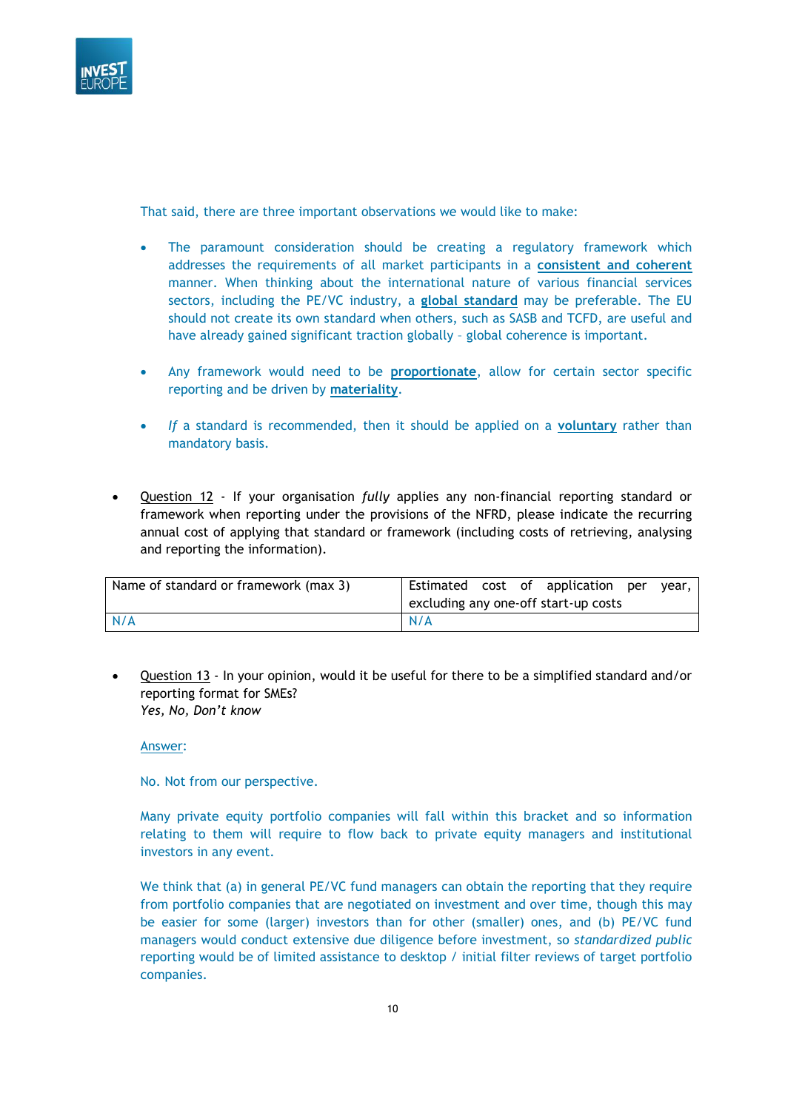

That said, there are three important observations we would like to make:

- The paramount consideration should be creating a regulatory framework which addresses the requirements of all market participants in a **consistent and coherent** manner. When thinking about the international nature of various financial services sectors, including the PE/VC industry, a **global standard** may be preferable. The EU should not create its own standard when others, such as SASB and TCFD, are useful and have already gained significant traction globally – global coherence is important.
- Any framework would need to be **proportionate**, allow for certain sector specific reporting and be driven by **materiality**.
- *If* a standard is recommended, then it should be applied on a **voluntary** rather than mandatory basis.
- Question 12 If your organisation *fully* applies any non-financial reporting standard or framework when reporting under the provisions of the NFRD, please indicate the recurring annual cost of applying that standard or framework (including costs of retrieving, analysing and reporting the information).

| Name of standard or framework (max 3) |     |  | Estimated cost of application per<br>excluding any one-off start-up costs | vear. |  |
|---------------------------------------|-----|--|---------------------------------------------------------------------------|-------|--|
| N/A                                   | N/A |  |                                                                           |       |  |

• Question 13 - In your opinion, would it be useful for there to be a simplified standard and/or reporting format for SMEs? *Yes, No, Don't know*

#### Answer:

No. Not from our perspective.

Many private equity portfolio companies will fall within this bracket and so information relating to them will require to flow back to private equity managers and institutional investors in any event.

We think that (a) in general PE/VC fund managers can obtain the reporting that they require from portfolio companies that are negotiated on investment and over time, though this may be easier for some (larger) investors than for other (smaller) ones, and (b) PE/VC fund managers would conduct extensive due diligence before investment, so *standardized public* reporting would be of limited assistance to desktop / initial filter reviews of target portfolio companies.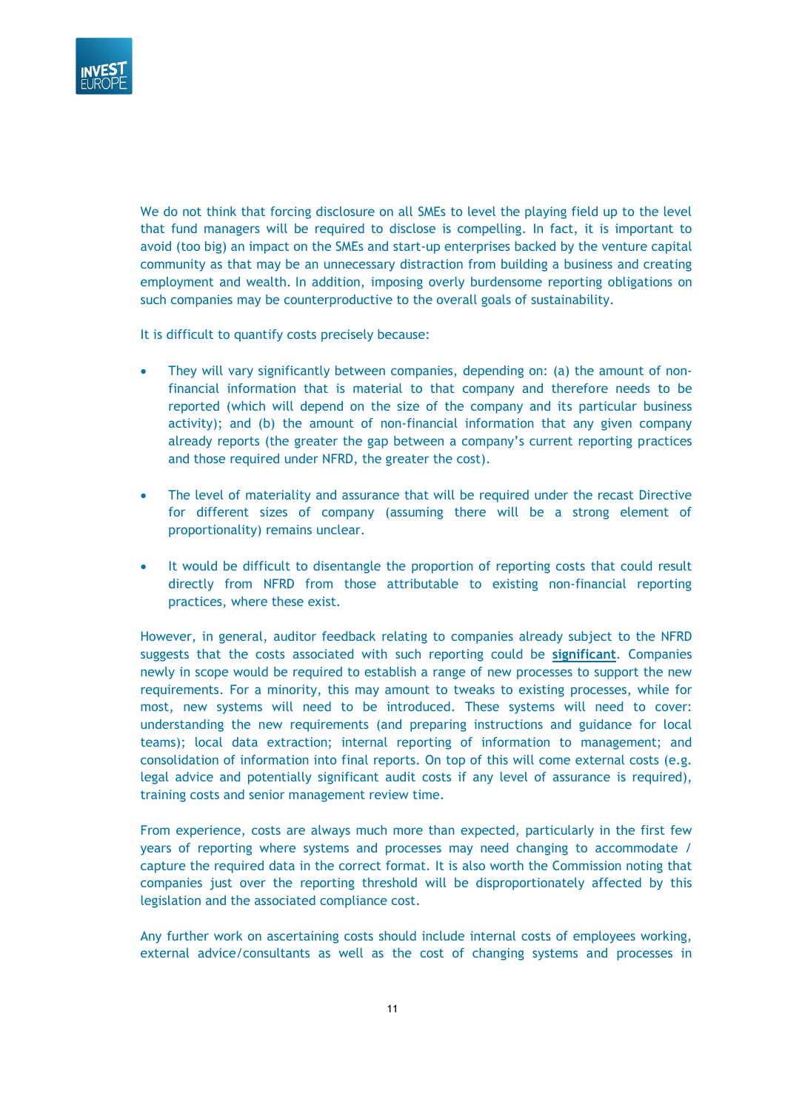

We do not think that forcing disclosure on all SMEs to level the playing field up to the level that fund managers will be required to disclose is compelling. In fact, it is important to avoid (too big) an impact on the SMEs and start-up enterprises backed by the venture capital community as that may be an unnecessary distraction from building a business and creating employment and wealth. In addition, imposing overly burdensome reporting obligations on such companies may be counterproductive to the overall goals of sustainability.

It is difficult to quantify costs precisely because:

- They will vary significantly between companies, depending on: (a) the amount of nonfinancial information that is material to that company and therefore needs to be reported (which will depend on the size of the company and its particular business activity); and (b) the amount of non-financial information that any given company already reports (the greater the gap between a company's current reporting practices and those required under NFRD, the greater the cost).
- The level of materiality and assurance that will be required under the recast Directive for different sizes of company (assuming there will be a strong element of proportionality) remains unclear.
- It would be difficult to disentangle the proportion of reporting costs that could result directly from NFRD from those attributable to existing non-financial reporting practices, where these exist.

However, in general, auditor feedback relating to companies already subject to the NFRD suggests that the costs associated with such reporting could be **significant**. Companies newly in scope would be required to establish a range of new processes to support the new requirements. For a minority, this may amount to tweaks to existing processes, while for most, new systems will need to be introduced. These systems will need to cover: understanding the new requirements (and preparing instructions and guidance for local teams); local data extraction; internal reporting of information to management; and consolidation of information into final reports. On top of this will come external costs (e.g. legal advice and potentially significant audit costs if any level of assurance is required), training costs and senior management review time.

From experience, costs are always much more than expected, particularly in the first few years of reporting where systems and processes may need changing to accommodate / capture the required data in the correct format. It is also worth the Commission noting that companies just over the reporting threshold will be disproportionately affected by this legislation and the associated compliance cost.

Any further work on ascertaining costs should include internal costs of employees working, external advice/consultants as well as the cost of changing systems and processes in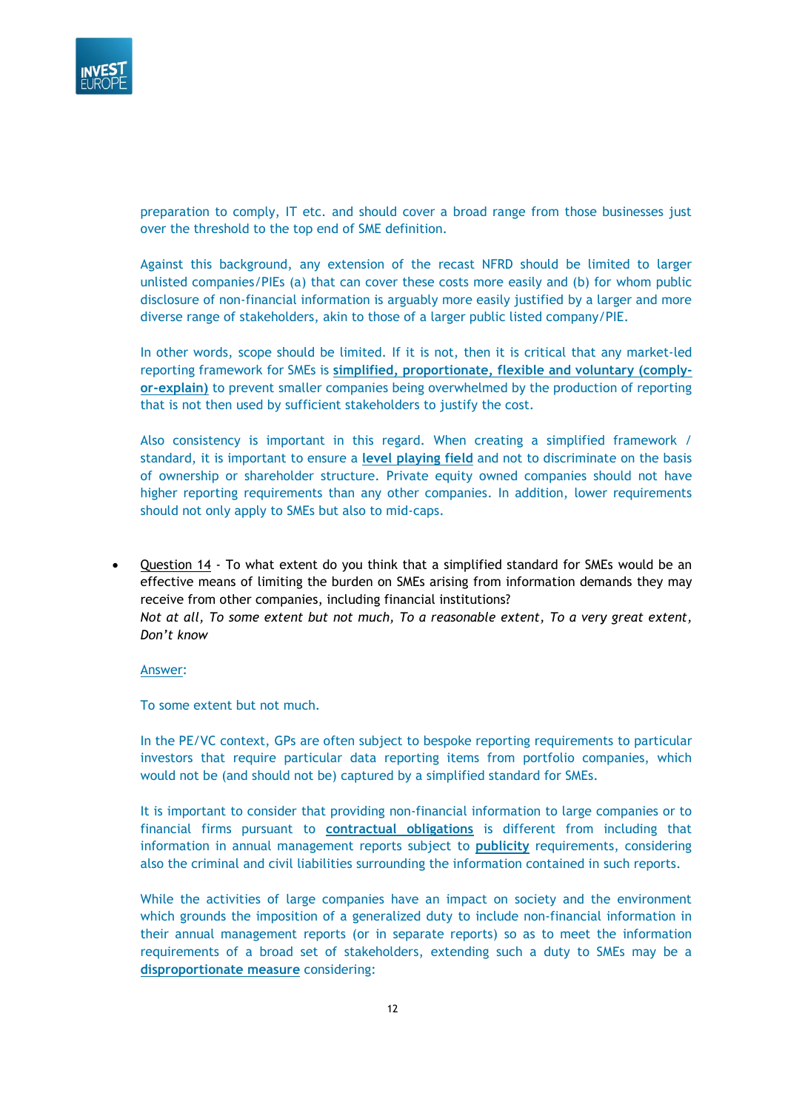

preparation to comply, IT etc. and should cover a broad range from those businesses just over the threshold to the top end of SME definition.

Against this background, any extension of the recast NFRD should be limited to larger unlisted companies/PIEs (a) that can cover these costs more easily and (b) for whom public disclosure of non-financial information is arguably more easily justified by a larger and more diverse range of stakeholders, akin to those of a larger public listed company/PIE.

In other words, scope should be limited. If it is not, then it is critical that any market-led reporting framework for SMEs is **simplified, proportionate, flexible and voluntary (complyor-explain)** to prevent smaller companies being overwhelmed by the production of reporting that is not then used by sufficient stakeholders to justify the cost.

Also consistency is important in this regard. When creating a simplified framework / standard, it is important to ensure a **level playing field** and not to discriminate on the basis of ownership or shareholder structure. Private equity owned companies should not have higher reporting requirements than any other companies. In addition, lower requirements should not only apply to SMEs but also to mid-caps.

Question 14 - To what extent do you think that a simplified standard for SMEs would be an effective means of limiting the burden on SMEs arising from information demands they may receive from other companies, including financial institutions? *Not at all, To some extent but not much, To a reasonable extent, To a very great extent, Don't know*

Answer:

To some extent but not much.

In the PE/VC context, GPs are often subject to bespoke reporting requirements to particular investors that require particular data reporting items from portfolio companies, which would not be (and should not be) captured by a simplified standard for SMEs.

It is important to consider that providing non-financial information to large companies or to financial firms pursuant to **contractual obligations** is different from including that information in annual management reports subject to **publicity** requirements, considering also the criminal and civil liabilities surrounding the information contained in such reports.

While the activities of large companies have an impact on society and the environment which grounds the imposition of a generalized duty to include non-financial information in their annual management reports (or in separate reports) so as to meet the information requirements of a broad set of stakeholders, extending such a duty to SMEs may be a **disproportionate measure** considering: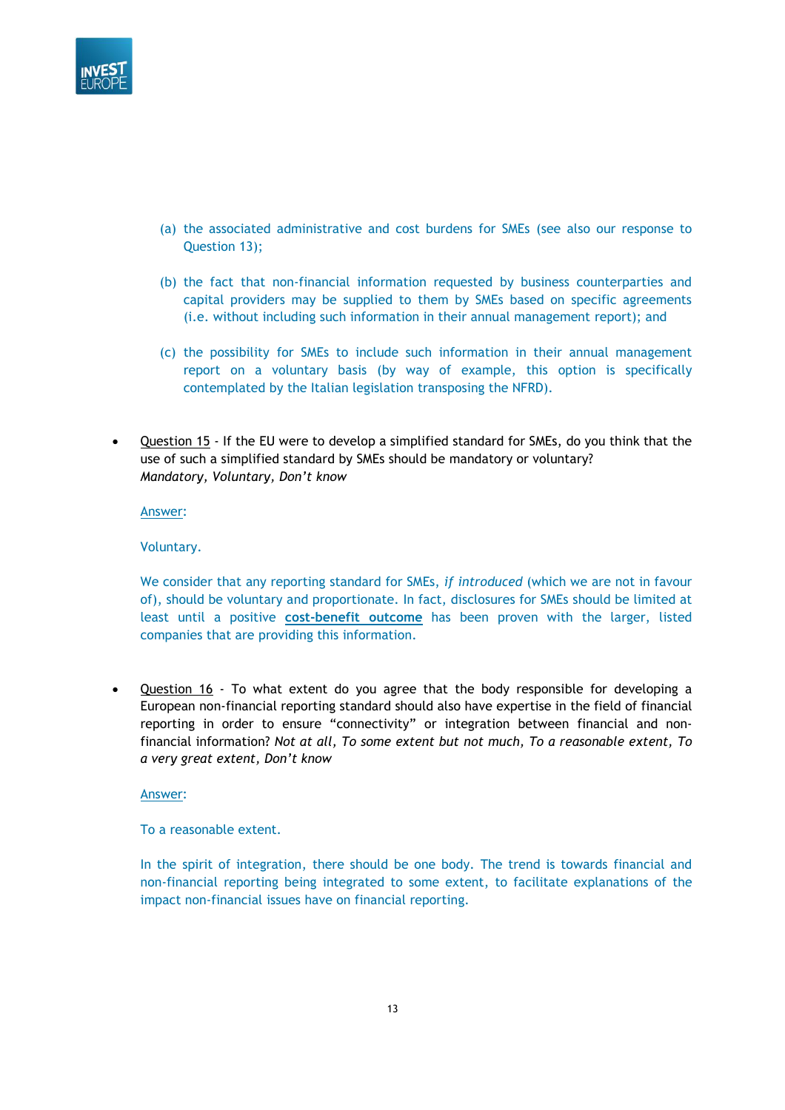

- (a) the associated administrative and cost burdens for SMEs (see also our response to Question 13);
- (b) the fact that non-financial information requested by business counterparties and capital providers may be supplied to them by SMEs based on specific agreements (i.e. without including such information in their annual management report); and
- (c) the possibility for SMEs to include such information in their annual management report on a voluntary basis (by way of example, this option is specifically contemplated by the Italian legislation transposing the NFRD).
- Question 15 If the EU were to develop a simplified standard for SMEs, do you think that the use of such a simplified standard by SMEs should be mandatory or voluntary? *Mandatory, Voluntary, Don't know*

#### Voluntary.

We consider that any reporting standard for SMEs, *if introduced* (which we are not in favour of), should be voluntary and proportionate. In fact, disclosures for SMEs should be limited at least until a positive **cost-benefit outcome** has been proven with the larger, listed companies that are providing this information.

Question 16 - To what extent do you agree that the body responsible for developing a European non-financial reporting standard should also have expertise in the field of financial reporting in order to ensure "connectivity" or integration between financial and nonfinancial information? *Not at all, To some extent but not much, To a reasonable extent, To a very great extent, Don't know*

#### Answer:

To a reasonable extent.

In the spirit of integration, there should be one body. The trend is towards financial and non-financial reporting being integrated to some extent, to facilitate explanations of the impact non-financial issues have on financial reporting.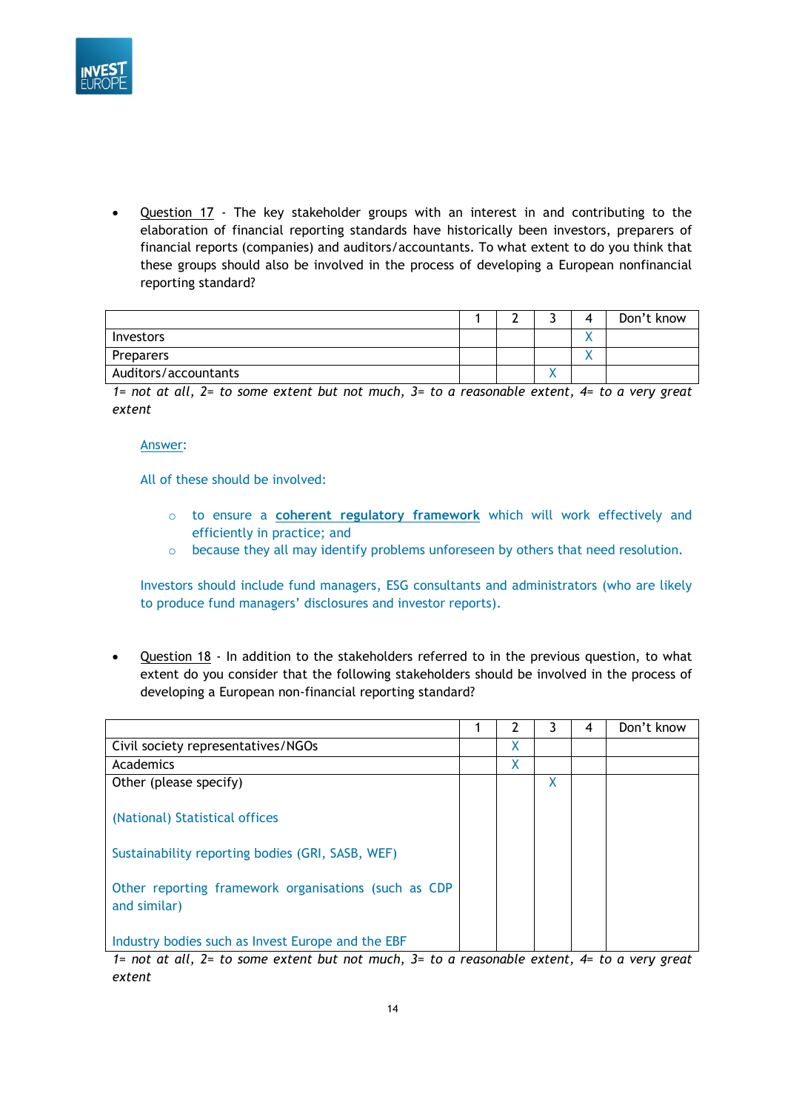

• Question 17 - The key stakeholder groups with an interest in and contributing to the elaboration of financial reporting standards have historically been investors, preparers of financial reports (companies) and auditors/accountants. To what extent to do you think that these groups should also be involved in the process of developing a European nonfinancial reporting standard?

|                      |  | $\mathbf{u}$ | Don't know |
|----------------------|--|--------------|------------|
| Investors            |  |              |            |
| Preparers            |  |              |            |
| Auditors/accountants |  |              |            |

*1= not at all, 2= to some extent but not much, 3= to a reasonable extent, 4= to a very great extent*

#### Answer:

All of these should be involved:

- o to ensure a **coherent regulatory framework** which will work effectively and efficiently in practice; and
- $\circ$  because they all may identify problems unforeseen by others that need resolution.

Investors should include fund managers, ESG consultants and administrators (who are likely to produce fund managers' disclosures and investor reports).

• Question 18 - In addition to the stakeholders referred to in the previous question, to what extent do you consider that the following stakeholders should be involved in the process of developing a European non-financial reporting standard?

|                                                                                                                                                                                                                                                                                        | 7   | 3 | 4 | Don't know |
|----------------------------------------------------------------------------------------------------------------------------------------------------------------------------------------------------------------------------------------------------------------------------------------|-----|---|---|------------|
| Civil society representatives/NGOs                                                                                                                                                                                                                                                     | X   |   |   |            |
| Academics                                                                                                                                                                                                                                                                              | χ   |   |   |            |
| Other (please specify)                                                                                                                                                                                                                                                                 |     | X |   |            |
| (National) Statistical offices                                                                                                                                                                                                                                                         |     |   |   |            |
| Sustainability reporting bodies (GRI, SASB, WEF)                                                                                                                                                                                                                                       |     |   |   |            |
| Other reporting framework organisations (such as CDP<br>and similar)                                                                                                                                                                                                                   |     |   |   |            |
| Industry bodies such as Invest Europe and the EBF<br>$\mathcal{L}$ , and the set of the set of the set of the set of the set of the set of the set of the set of the set of the set of the set of the set of the set of the set of the set of the set of the set of the set of the set | . . |   |   |            |

*1= not at all, 2= to some extent but not much, 3= to a reasonable extent, 4= to a very great extent*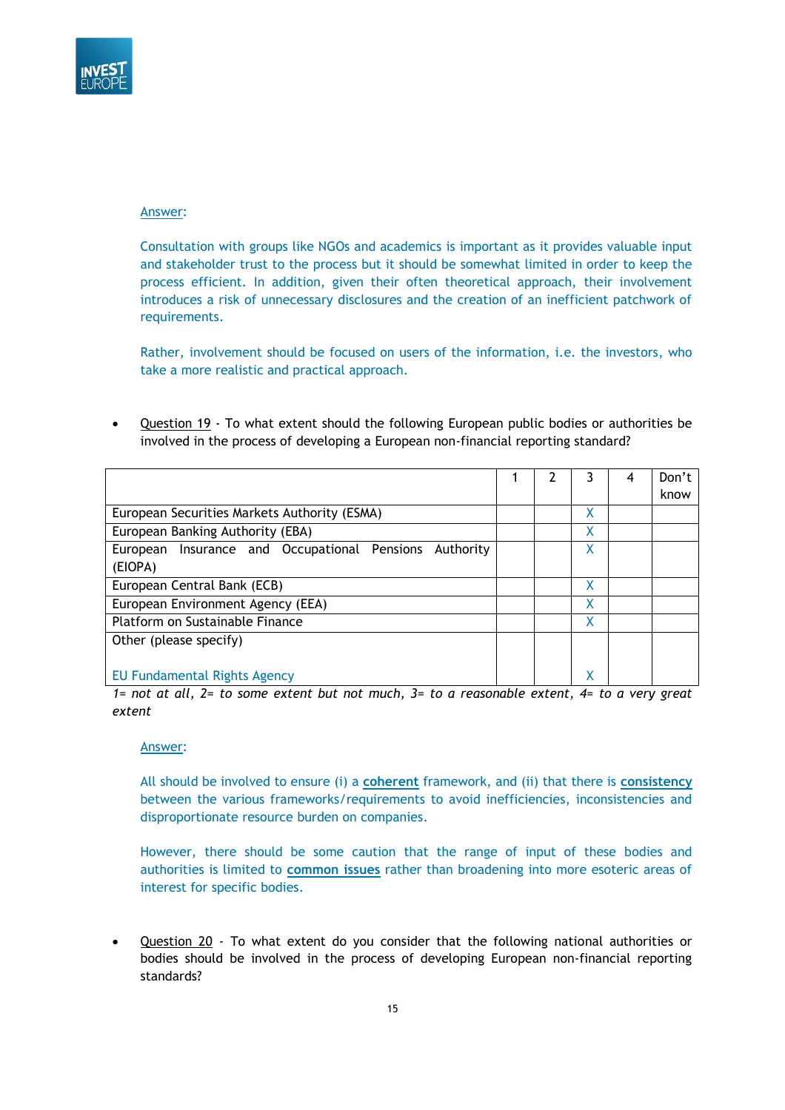

Consultation with groups like NGOs and academics is important as it provides valuable input and stakeholder trust to the process but it should be somewhat limited in order to keep the process efficient. In addition, given their often theoretical approach, their involvement introduces a risk of unnecessary disclosures and the creation of an inefficient patchwork of requirements.

Rather, involvement should be focused on users of the information, i.e. the investors, who take a more realistic and practical approach.

• Question 19 - To what extent should the following European public bodies or authorities be involved in the process of developing a European non-financial reporting standard?

|                                                        |  |   | 4 | Don't |
|--------------------------------------------------------|--|---|---|-------|
|                                                        |  |   |   | know  |
| European Securities Markets Authority (ESMA)           |  | Χ |   |       |
| European Banking Authority (EBA)                       |  | χ |   |       |
| European Insurance and Occupational Pensions Authority |  |   |   |       |
| (EIOPA)                                                |  |   |   |       |
| European Central Bank (ECB)                            |  | χ |   |       |
| European Environment Agency (EEA)                      |  | Χ |   |       |
| Platform on Sustainable Finance                        |  | χ |   |       |
| Other (please specify)                                 |  |   |   |       |
|                                                        |  |   |   |       |
| <b>EU Fundamental Rights Agency</b>                    |  |   |   |       |

*1= not at all, 2= to some extent but not much, 3= to a reasonable extent, 4= to a very great extent*

### Answer:

All should be involved to ensure (i) a **coherent** framework, and (ii) that there is **consistency** between the various frameworks/requirements to avoid inefficiencies, inconsistencies and disproportionate resource burden on companies.

However, there should be some caution that the range of input of these bodies and authorities is limited to **common issues** rather than broadening into more esoteric areas of interest for specific bodies.

Question 20 - To what extent do you consider that the following national authorities or bodies should be involved in the process of developing European non-financial reporting standards?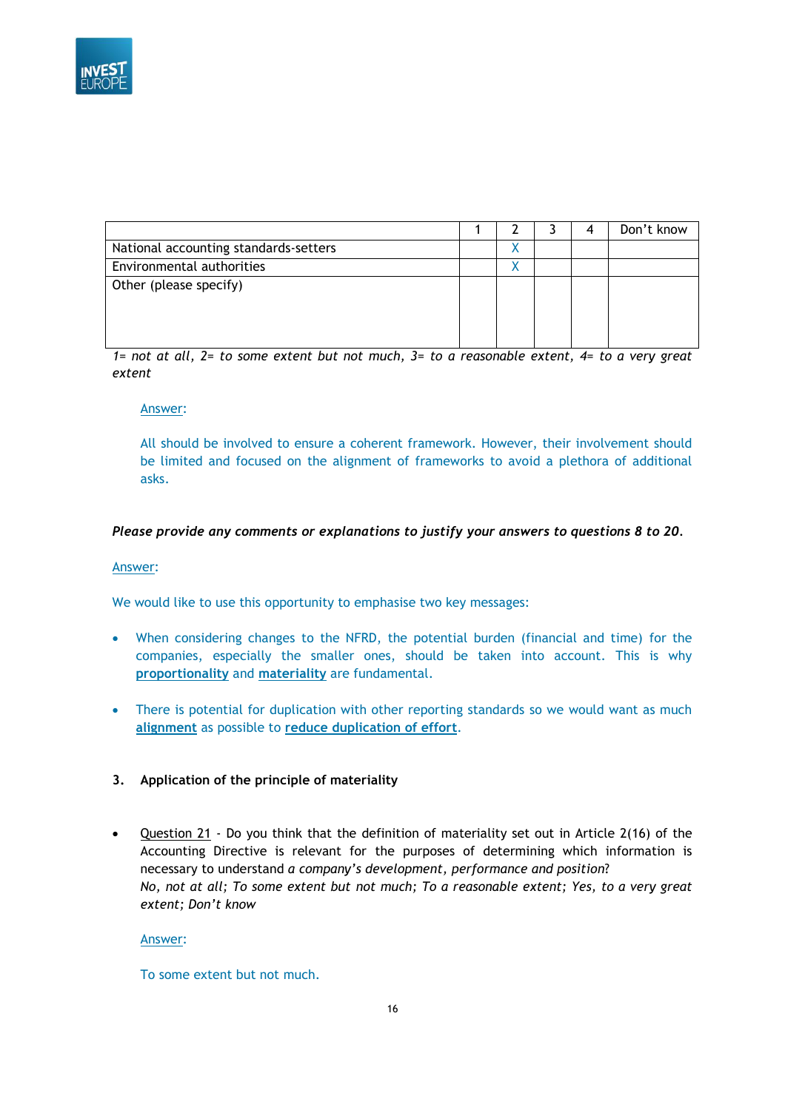

|                                       |  |  | Don't know |
|---------------------------------------|--|--|------------|
| National accounting standards-setters |  |  |            |
| Environmental authorities             |  |  |            |
| Other (please specify)                |  |  |            |
|                                       |  |  |            |
|                                       |  |  |            |
|                                       |  |  |            |

*1= not at all, 2= to some extent but not much, 3= to a reasonable extent, 4= to a very great extent*

### Answer:

All should be involved to ensure a coherent framework. However, their involvement should be limited and focused on the alignment of frameworks to avoid a plethora of additional asks.

### *Please provide any comments or explanations to justify your answers to questions 8 to 20.*

#### Answer:

We would like to use this opportunity to emphasise two key messages:

- When considering changes to the NFRD, the potential burden (financial and time) for the companies, especially the smaller ones, should be taken into account. This is why **proportionality** and **materiality** are fundamental.
- There is potential for duplication with other reporting standards so we would want as much **alignment** as possible to **reduce duplication of effort**.
- **3. Application of the principle of materiality**
- Question 21 Do you think that the definition of materiality set out in Article 2(16) of the Accounting Directive is relevant for the purposes of determining which information is necessary to understand *a company's development, performance and position*? *No, not at all; To some extent but not much; To a reasonable extent; Yes, to a very great extent; Don't know*

#### Answer:

To some extent but not much.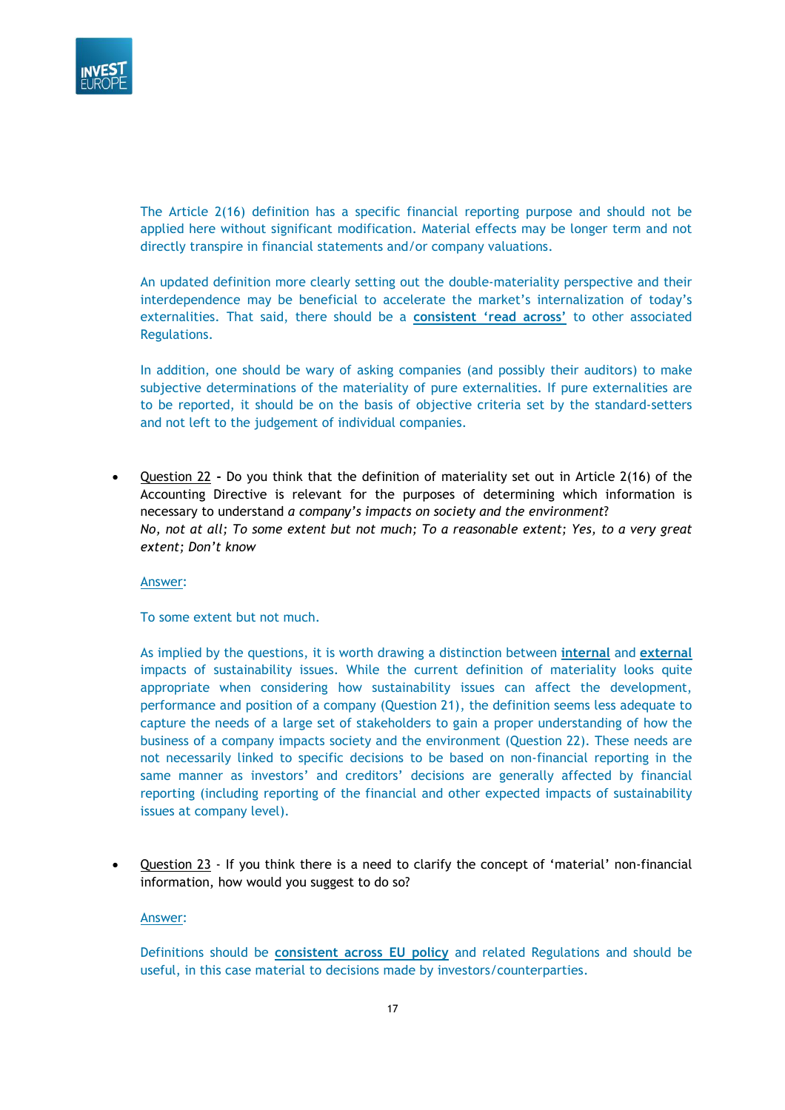

The Article 2(16) definition has a specific financial reporting purpose and should not be applied here without significant modification. Material effects may be longer term and not directly transpire in financial statements and/or company valuations.

An updated definition more clearly setting out the double-materiality perspective and their interdependence may be beneficial to accelerate the market's internalization of today's externalities. That said, there should be a **consistent 'read across'** to other associated Regulations.

In addition, one should be wary of asking companies (and possibly their auditors) to make subjective determinations of the materiality of pure externalities. If pure externalities are to be reported, it should be on the basis of objective criteria set by the standard-setters and not left to the judgement of individual companies.

• Question 22 **-** Do you think that the definition of materiality set out in Article 2(16) of the Accounting Directive is relevant for the purposes of determining which information is necessary to understand *a company's impacts on society and the environment*? *No, not at all; To some extent but not much; To a reasonable extent; Yes, to a very great extent; Don't know*

Answer:

To some extent but not much.

As implied by the questions, it is worth drawing a distinction between **internal** and **external** impacts of sustainability issues. While the current definition of materiality looks quite appropriate when considering how sustainability issues can affect the development, performance and position of a company (Question 21), the definition seems less adequate to capture the needs of a large set of stakeholders to gain a proper understanding of how the business of a company impacts society and the environment (Question 22). These needs are not necessarily linked to specific decisions to be based on non-financial reporting in the same manner as investors' and creditors' decisions are generally affected by financial reporting (including reporting of the financial and other expected impacts of sustainability issues at company level).

• Question 23 - If you think there is a need to clarify the concept of 'material' non-financial information, how would you suggest to do so?

#### Answer:

Definitions should be **consistent across EU policy** and related Regulations and should be useful, in this case material to decisions made by investors/counterparties.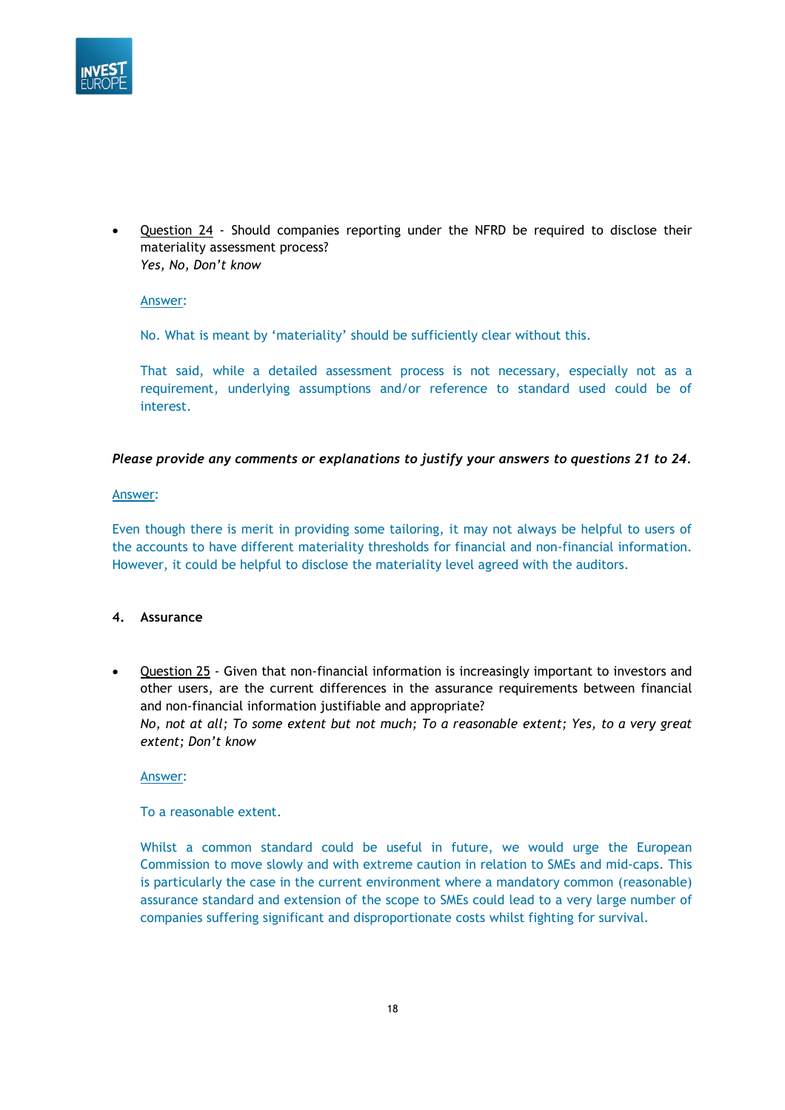

Question 24 - Should companies reporting under the NFRD be required to disclose their materiality assessment process? *Yes, No, Don't know* 

Answer:

No. What is meant by 'materiality' should be sufficiently clear without this.

That said, while a detailed assessment process is not necessary, especially not as a requirement, underlying assumptions and/or reference to standard used could be of interest.

### *Please provide any comments or explanations to justify your answers to questions 21 to 24.*

#### Answer:

Even though there is merit in providing some tailoring, it may not always be helpful to users of the accounts to have different materiality thresholds for financial and non-financial information. However, it could be helpful to disclose the materiality level agreed with the auditors.

#### **4. Assurance**

• Question 25 - Given that non-financial information is increasingly important to investors and other users, are the current differences in the assurance requirements between financial and non-financial information justifiable and appropriate? *No, not at all; To some extent but not much; To a reasonable extent; Yes, to a very great extent; Don't know* 

#### Answer:

### To a reasonable extent.

Whilst a common standard could be useful in future, we would urge the European Commission to move slowly and with extreme caution in relation to SMEs and mid-caps. This is particularly the case in the current environment where a mandatory common (reasonable) assurance standard and extension of the scope to SMEs could lead to a very large number of companies suffering significant and disproportionate costs whilst fighting for survival.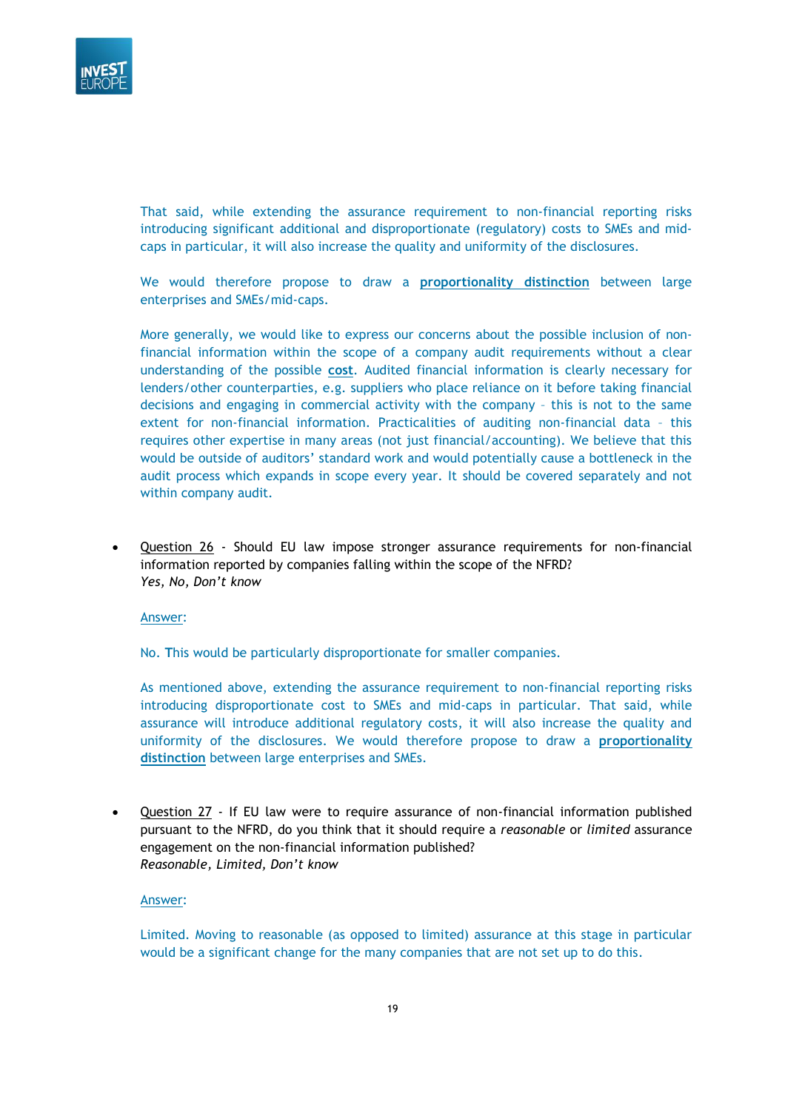

That said, while extending the assurance requirement to non-financial reporting risks introducing significant additional and disproportionate (regulatory) costs to SMEs and midcaps in particular, it will also increase the quality and uniformity of the disclosures.

We would therefore propose to draw a **proportionality distinction** between large enterprises and SMEs/mid-caps.

More generally, we would like to express our concerns about the possible inclusion of nonfinancial information within the scope of a company audit requirements without a clear understanding of the possible **cost**. Audited financial information is clearly necessary for lenders/other counterparties, e.g. suppliers who place reliance on it before taking financial decisions and engaging in commercial activity with the company – this is not to the same extent for non-financial information. Practicalities of auditing non-financial data – this requires other expertise in many areas (not just financial/accounting). We believe that this would be outside of auditors' standard work and would potentially cause a bottleneck in the audit process which expands in scope every year. It should be covered separately and not within company audit.

• Question 26 - Should EU law impose stronger assurance requirements for non-financial information reported by companies falling within the scope of the NFRD? *Yes, No, Don't know*

#### Answer:

No. **T**his would be particularly disproportionate for smaller companies.

As mentioned above, extending the assurance requirement to non-financial reporting risks introducing disproportionate cost to SMEs and mid-caps in particular. That said, while assurance will introduce additional regulatory costs, it will also increase the quality and uniformity of the disclosures. We would therefore propose to draw a **proportionality distinction** between large enterprises and SMEs.

• Question 27 - If EU law were to require assurance of non-financial information published pursuant to the NFRD, do you think that it should require a *reasonable* or *limited* assurance engagement on the non-financial information published? *Reasonable, Limited, Don't know*

### Answer:

Limited. Moving to reasonable (as opposed to limited) assurance at this stage in particular would be a significant change for the many companies that are not set up to do this.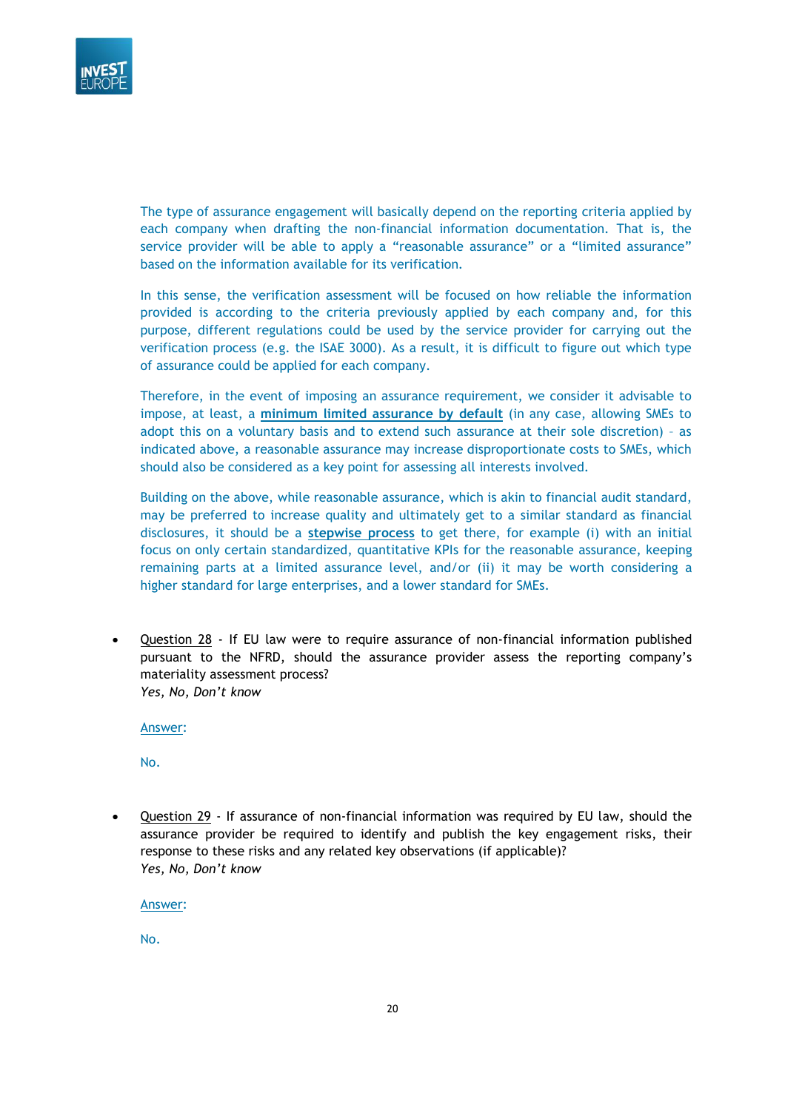

The type of assurance engagement will basically depend on the reporting criteria applied by each company when drafting the non-financial information documentation. That is, the service provider will be able to apply a "reasonable assurance" or a "limited assurance" based on the information available for its verification.

In this sense, the verification assessment will be focused on how reliable the information provided is according to the criteria previously applied by each company and, for this purpose, different regulations could be used by the service provider for carrying out the verification process (e.g. the ISAE 3000). As a result, it is difficult to figure out which type of assurance could be applied for each company.

Therefore, in the event of imposing an assurance requirement, we consider it advisable to impose, at least, a **minimum limited assurance by default** (in any case, allowing SMEs to adopt this on a voluntary basis and to extend such assurance at their sole discretion) – as indicated above, a reasonable assurance may increase disproportionate costs to SMEs, which should also be considered as a key point for assessing all interests involved.

Building on the above, while reasonable assurance, which is akin to financial audit standard, may be preferred to increase quality and ultimately get to a similar standard as financial disclosures, it should be a **stepwise process** to get there, for example (i) with an initial focus on only certain standardized, quantitative KPIs for the reasonable assurance, keeping remaining parts at a limited assurance level, and/or (ii) it may be worth considering a higher standard for large enterprises, and a lower standard for SMEs.

• Question 28 - If EU law were to require assurance of non-financial information published pursuant to the NFRD, should the assurance provider assess the reporting company's materiality assessment process? *Yes, No, Don't know* 

Answer:

No.

• Question 29 - If assurance of non-financial information was required by EU law, should the assurance provider be required to identify and publish the key engagement risks, their response to these risks and any related key observations (if applicable)? *Yes, No, Don't know* 

Answer:

No.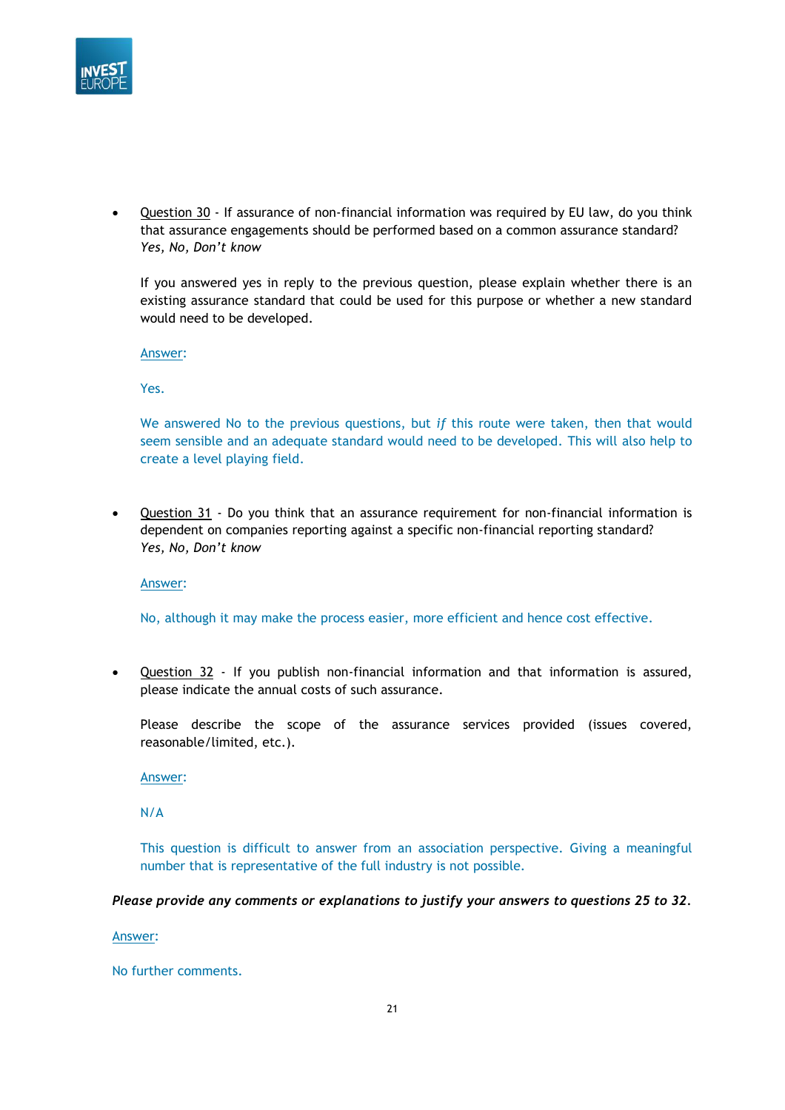

• Question 30 - If assurance of non-financial information was required by EU law, do you think that assurance engagements should be performed based on a common assurance standard? *Yes, No, Don't know* 

If you answered yes in reply to the previous question, please explain whether there is an existing assurance standard that could be used for this purpose or whether a new standard would need to be developed.

Answer:

Yes.

We answered No to the previous questions, but *if* this route were taken, then that would seem sensible and an adequate standard would need to be developed. This will also help to create a level playing field.

• Question 31 - Do you think that an assurance requirement for non-financial information is dependent on companies reporting against a specific non-financial reporting standard? *Yes, No, Don't know* 

Answer:

No, although it may make the process easier, more efficient and hence cost effective.

• Question 32 - If you publish non-financial information and that information is assured, please indicate the annual costs of such assurance.

Please describe the scope of the assurance services provided (issues covered, reasonable/limited, etc.).

Answer:

N/A

This question is difficult to answer from an association perspective. Giving a meaningful number that is representative of the full industry is not possible.

*Please provide any comments or explanations to justify your answers to questions 25 to 32.*

Answer:

No further comments.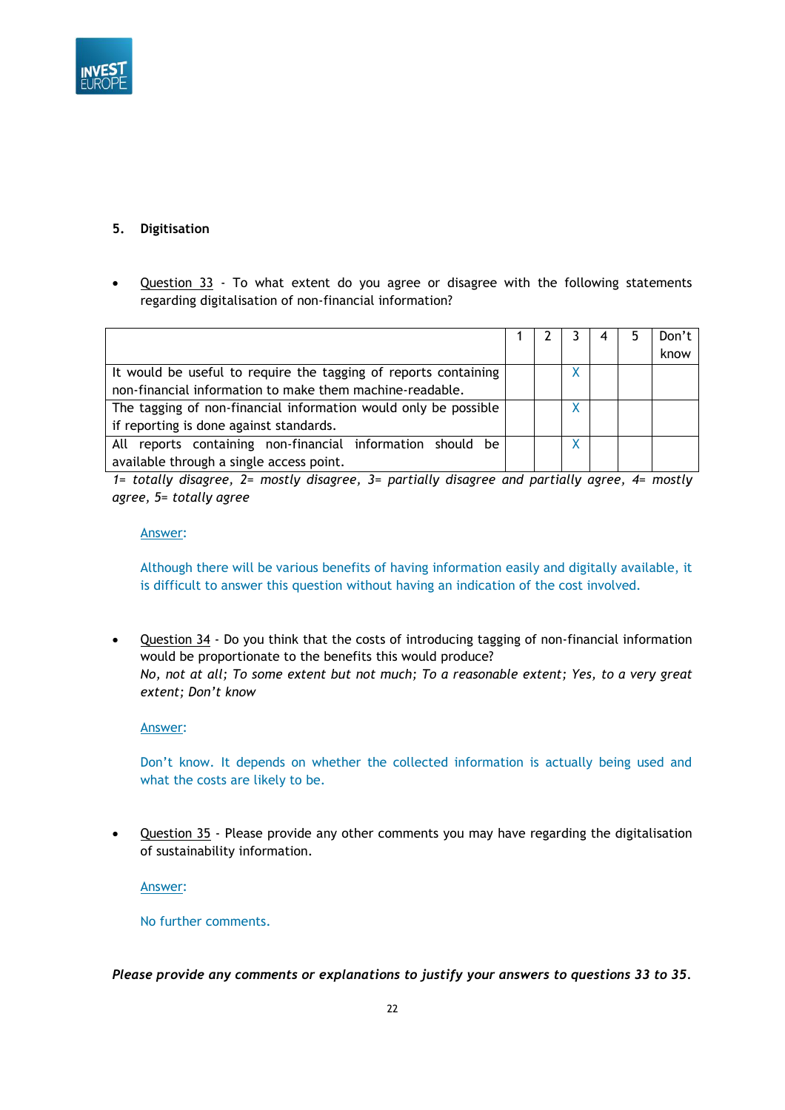

## **5. Digitisation**

• Question 33 - To what extent do you agree or disagree with the following statements regarding digitalisation of non-financial information?

|                                                                 |  |  | Don't |
|-----------------------------------------------------------------|--|--|-------|
|                                                                 |  |  | know  |
| It would be useful to require the tagging of reports containing |  |  |       |
| non-financial information to make them machine-readable.        |  |  |       |
| The tagging of non-financial information would only be possible |  |  |       |
| if reporting is done against standards.                         |  |  |       |
| All reports containing non-financial information should be      |  |  |       |
| available through a single access point.                        |  |  |       |

*1= totally disagree, 2= mostly disagree, 3= partially disagree and partially agree, 4= mostly agree, 5= totally agree*

### Answer:

Although there will be various benefits of having information easily and digitally available, it is difficult to answer this question without having an indication of the cost involved.

• Question 34 - Do you think that the costs of introducing tagging of non-financial information would be proportionate to the benefits this would produce? *No, not at all; To some extent but not much; To a reasonable extent; Yes, to a very great extent; Don't know* 

Answer:

Don't know. It depends on whether the collected information is actually being used and what the costs are likely to be.

• Question 35 - Please provide any other comments you may have regarding the digitalisation of sustainability information.

Answer:

No further comments.

*Please provide any comments or explanations to justify your answers to questions 33 to 35.*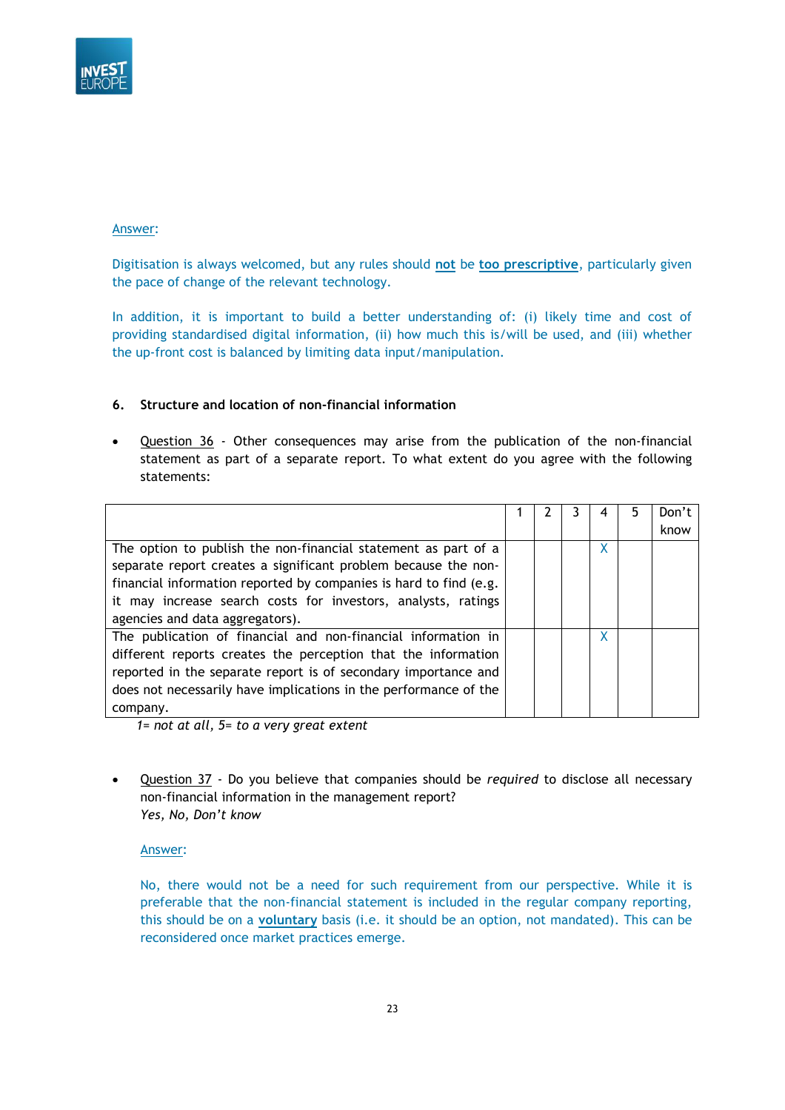

Digitisation is always welcomed, but any rules should **not** be **too prescriptive**, particularly given the pace of change of the relevant technology.

In addition, it is important to build a better understanding of: (i) likely time and cost of providing standardised digital information, (ii) how much this is/will be used, and (iii) whether the up-front cost is balanced by limiting data input/manipulation.

### **6. Structure and location of non-financial information**

Question 36 - Other consequences may arise from the publication of the non-financial statement as part of a separate report. To what extent do you agree with the following statements:

|                                                                   |  |   | Don't |
|-------------------------------------------------------------------|--|---|-------|
|                                                                   |  |   | know  |
| The option to publish the non-financial statement as part of a    |  | X |       |
| separate report creates a significant problem because the non-    |  |   |       |
| financial information reported by companies is hard to find (e.g. |  |   |       |
| it may increase search costs for investors, analysts, ratings     |  |   |       |
| agencies and data aggregators).                                   |  |   |       |
| The publication of financial and non-financial information in     |  | X |       |
| different reports creates the perception that the information     |  |   |       |
| reported in the separate report is of secondary importance and    |  |   |       |
| does not necessarily have implications in the performance of the  |  |   |       |
| company.                                                          |  |   |       |

*1= not at all, 5= to a very great extent*

• Question 37 - Do you believe that companies should be *required* to disclose all necessary non-financial information in the management report? *Yes, No, Don't know*

### Answer:

No, there would not be a need for such requirement from our perspective. While it is preferable that the non-financial statement is included in the regular company reporting, this should be on a **voluntary** basis (i.e. it should be an option, not mandated). This can be reconsidered once market practices emerge.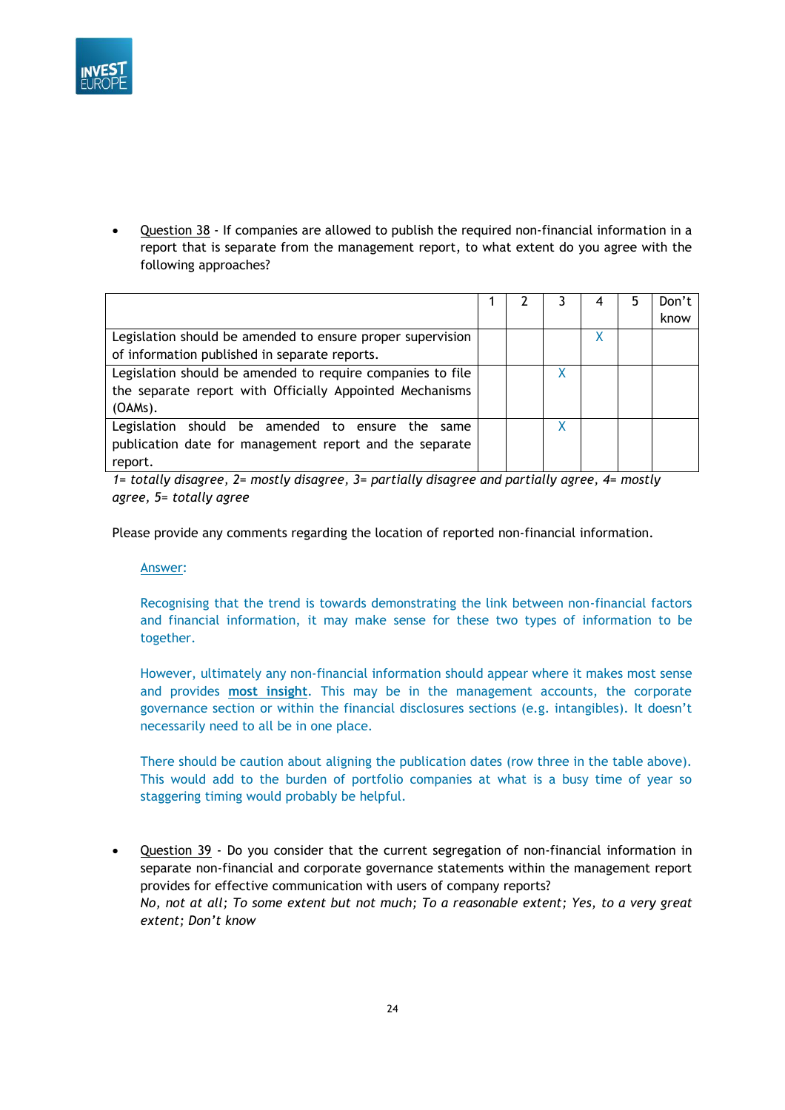

Question 38 - If companies are allowed to publish the required non-financial information in a report that is separate from the management report, to what extent do you agree with the following approaches?

|                                                            |  |  | Don't |
|------------------------------------------------------------|--|--|-------|
|                                                            |  |  | know  |
| Legislation should be amended to ensure proper supervision |  |  |       |
| of information published in separate reports.              |  |  |       |
| Legislation should be amended to require companies to file |  |  |       |
| the separate report with Officially Appointed Mechanisms   |  |  |       |
| (OAMs).                                                    |  |  |       |
| Legislation should be amended to ensure the same           |  |  |       |
| publication date for management report and the separate    |  |  |       |
| report.                                                    |  |  |       |

*1= totally disagree, 2= mostly disagree, 3= partially disagree and partially agree, 4= mostly agree, 5= totally agree*

Please provide any comments regarding the location of reported non-financial information.

Answer:

Recognising that the trend is towards demonstrating the link between non-financial factors and financial information, it may make sense for these two types of information to be together.

However, ultimately any non-financial information should appear where it makes most sense and provides **most insight**. This may be in the management accounts, the corporate governance section or within the financial disclosures sections (e.g. intangibles). It doesn't necessarily need to all be in one place.

There should be caution about aligning the publication dates (row three in the table above). This would add to the burden of portfolio companies at what is a busy time of year so staggering timing would probably be helpful.

• Question 39 - Do you consider that the current segregation of non-financial information in separate non-financial and corporate governance statements within the management report provides for effective communication with users of company reports? *No, not at all; To some extent but not much; To a reasonable extent; Yes, to a very great extent; Don't know*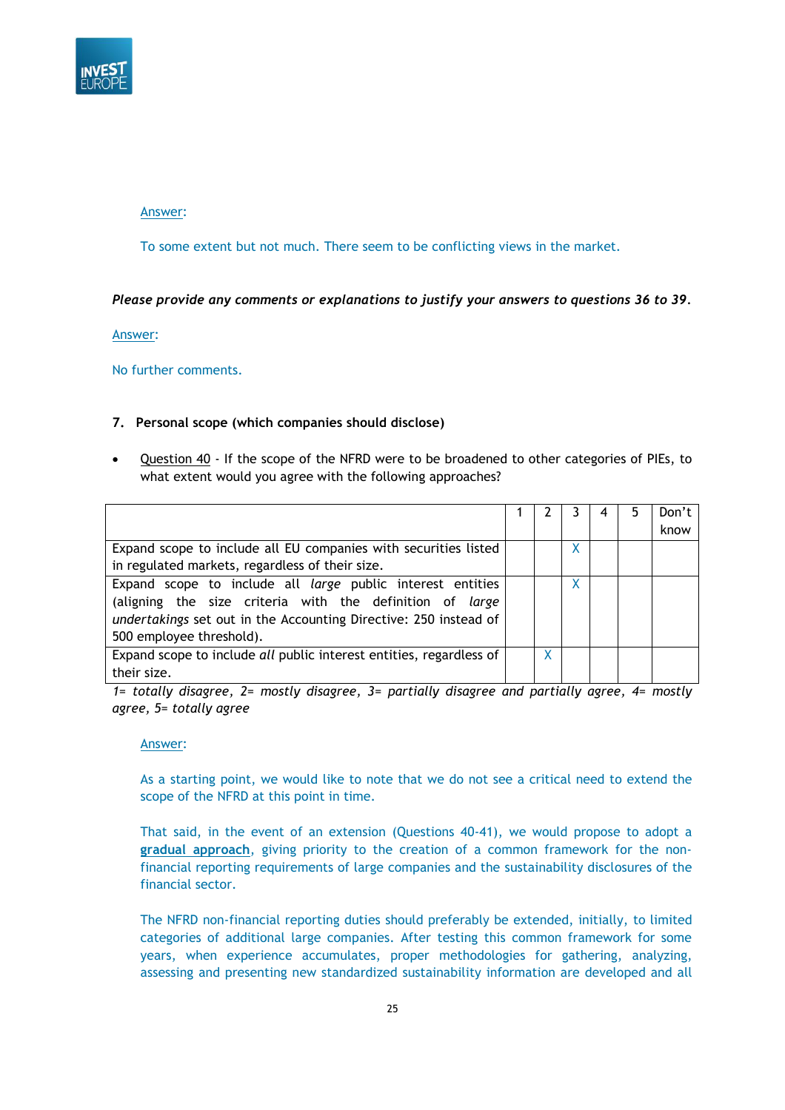

To some extent but not much. There seem to be conflicting views in the market.

### *Please provide any comments or explanations to justify your answers to questions 36 to 39.*

Answer:

No further comments.

### **7. Personal scope (which companies should disclose)**

• Question 40 - If the scope of the NFRD were to be broadened to other categories of PIEs, to what extent would you agree with the following approaches?

|                                                                     |   |  | Don't |
|---------------------------------------------------------------------|---|--|-------|
|                                                                     |   |  | know  |
| Expand scope to include all EU companies with securities listed     |   |  |       |
| in regulated markets, regardless of their size.                     |   |  |       |
| Expand scope to include all <i>large</i> public interest entities   |   |  |       |
| (aligning the size criteria with the definition of large            |   |  |       |
| undertakings set out in the Accounting Directive: 250 instead of    |   |  |       |
| 500 employee threshold).                                            |   |  |       |
| Expand scope to include all public interest entities, regardless of | X |  |       |
| their size.                                                         |   |  |       |

*1= totally disagree, 2= mostly disagree, 3= partially disagree and partially agree, 4= mostly agree, 5= totally agree*

### Answer:

As a starting point, we would like to note that we do not see a critical need to extend the scope of the NFRD at this point in time.

That said, in the event of an extension (Questions 40-41), we would propose to adopt a **gradual approach**, giving priority to the creation of a common framework for the nonfinancial reporting requirements of large companies and the sustainability disclosures of the financial sector.

The NFRD non-financial reporting duties should preferably be extended, initially, to limited categories of additional large companies. After testing this common framework for some years, when experience accumulates, proper methodologies for gathering, analyzing, assessing and presenting new standardized sustainability information are developed and all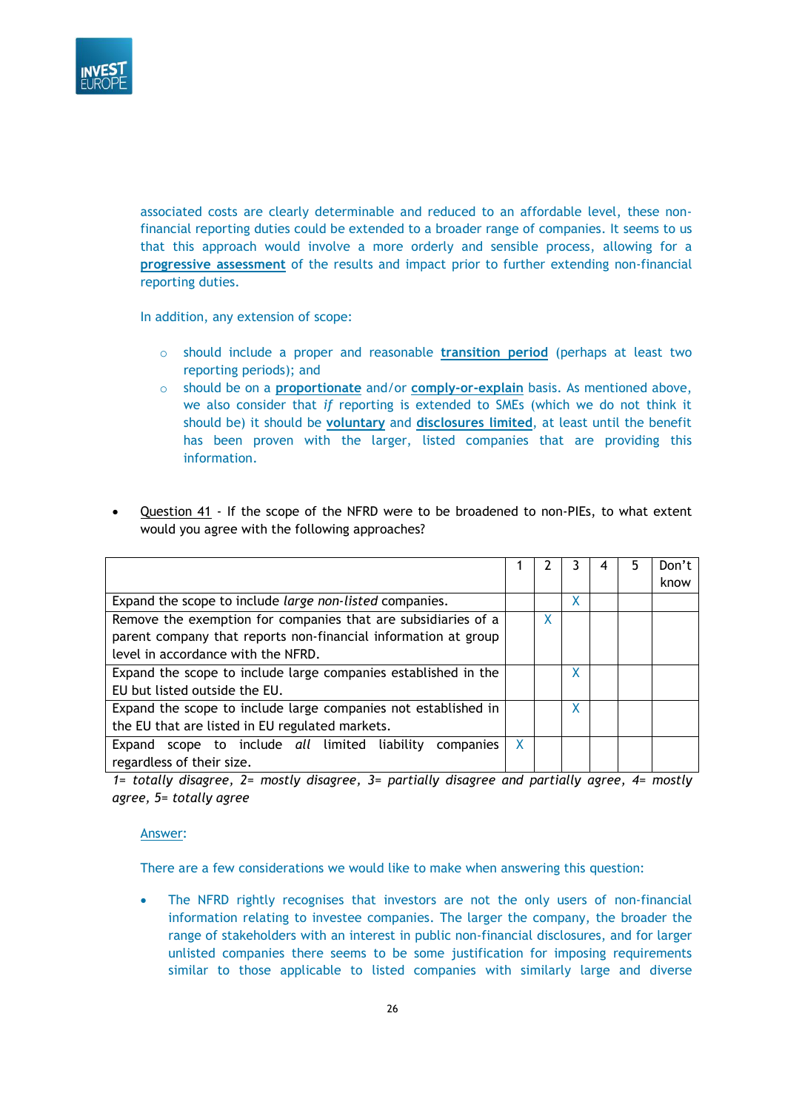

associated costs are clearly determinable and reduced to an affordable level, these nonfinancial reporting duties could be extended to a broader range of companies. It seems to us that this approach would involve a more orderly and sensible process, allowing for a **progressive assessment** of the results and impact prior to further extending non-financial reporting duties.

In addition, any extension of scope:

- o should include a proper and reasonable **transition period** (perhaps at least two reporting periods); and
- o should be on a **proportionate** and/or **comply-or-explain** basis. As mentioned above, we also consider that *if* reporting is extended to SMEs (which we do not think it should be) it should be **voluntary** and **disclosures limited**, at least until the benefit has been proven with the larger, listed companies that are providing this information.
- Question 41 If the scope of the NFRD were to be broadened to non-PIEs, to what extent would you agree with the following approaches?

|                                                                |   |              |   |  | Don't |
|----------------------------------------------------------------|---|--------------|---|--|-------|
|                                                                |   |              |   |  | know  |
| Expand the scope to include large non-listed companies.        |   |              | x |  |       |
| Remove the exemption for companies that are subsidiaries of a  |   | $\mathsf{X}$ |   |  |       |
| parent company that reports non-financial information at group |   |              |   |  |       |
| level in accordance with the NFRD.                             |   |              |   |  |       |
| Expand the scope to include large companies established in the |   |              | χ |  |       |
| EU but listed outside the EU.                                  |   |              |   |  |       |
| Expand the scope to include large companies not established in |   |              | X |  |       |
| the EU that are listed in EU regulated markets.                |   |              |   |  |       |
| scope to include all limited liability<br>Expand<br>companies  | X |              |   |  |       |
| regardless of their size.                                      |   |              |   |  |       |

*1= totally disagree, 2= mostly disagree, 3= partially disagree and partially agree, 4= mostly agree, 5= totally agree*

Answer:

There are a few considerations we would like to make when answering this question:

• The NFRD rightly recognises that investors are not the only users of non-financial information relating to investee companies. The larger the company, the broader the range of stakeholders with an interest in public non-financial disclosures, and for larger unlisted companies there seems to be some justification for imposing requirements similar to those applicable to listed companies with similarly large and diverse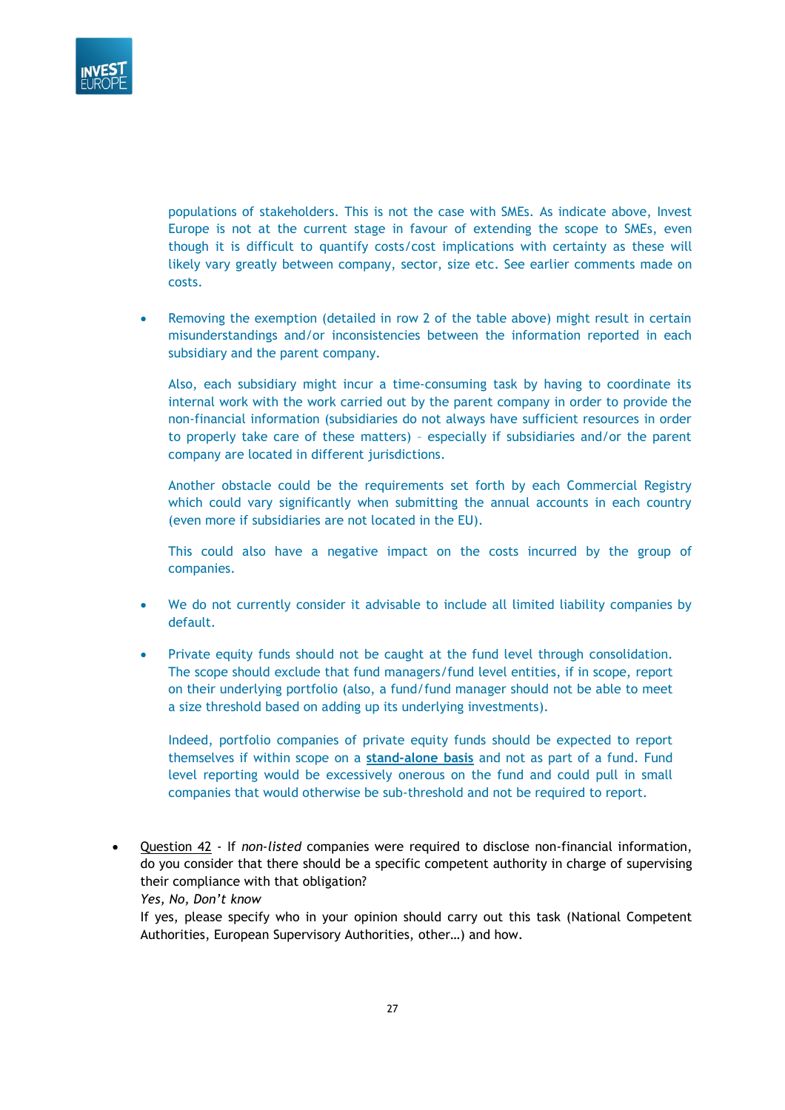

populations of stakeholders. This is not the case with SMEs. As indicate above, Invest Europe is not at the current stage in favour of extending the scope to SMEs, even though it is difficult to quantify costs/cost implications with certainty as these will likely vary greatly between company, sector, size etc. See earlier comments made on costs.

• Removing the exemption (detailed in row 2 of the table above) might result in certain misunderstandings and/or inconsistencies between the information reported in each subsidiary and the parent company.

Also, each subsidiary might incur a time-consuming task by having to coordinate its internal work with the work carried out by the parent company in order to provide the non-financial information (subsidiaries do not always have sufficient resources in order to properly take care of these matters) – especially if subsidiaries and/or the parent company are located in different jurisdictions.

Another obstacle could be the requirements set forth by each Commercial Registry which could vary significantly when submitting the annual accounts in each country (even more if subsidiaries are not located in the EU).

This could also have a negative impact on the costs incurred by the group of companies.

- We do not currently consider it advisable to include all limited liability companies by default.
- Private equity funds should not be caught at the fund level through consolidation. The scope should exclude that fund managers/fund level entities, if in scope, report on their underlying portfolio (also, a fund/fund manager should not be able to meet a size threshold based on adding up its underlying investments).

Indeed, portfolio companies of private equity funds should be expected to report themselves if within scope on a **stand-alone basis** and not as part of a fund. Fund level reporting would be excessively onerous on the fund and could pull in small companies that would otherwise be sub-threshold and not be required to report.

• Question 42 - If *non-listed* companies were required to disclose non-financial information, do you consider that there should be a specific competent authority in charge of supervising their compliance with that obligation?

*Yes, No, Don't know*

If yes, please specify who in your opinion should carry out this task (National Competent Authorities, European Supervisory Authorities, other…) and how.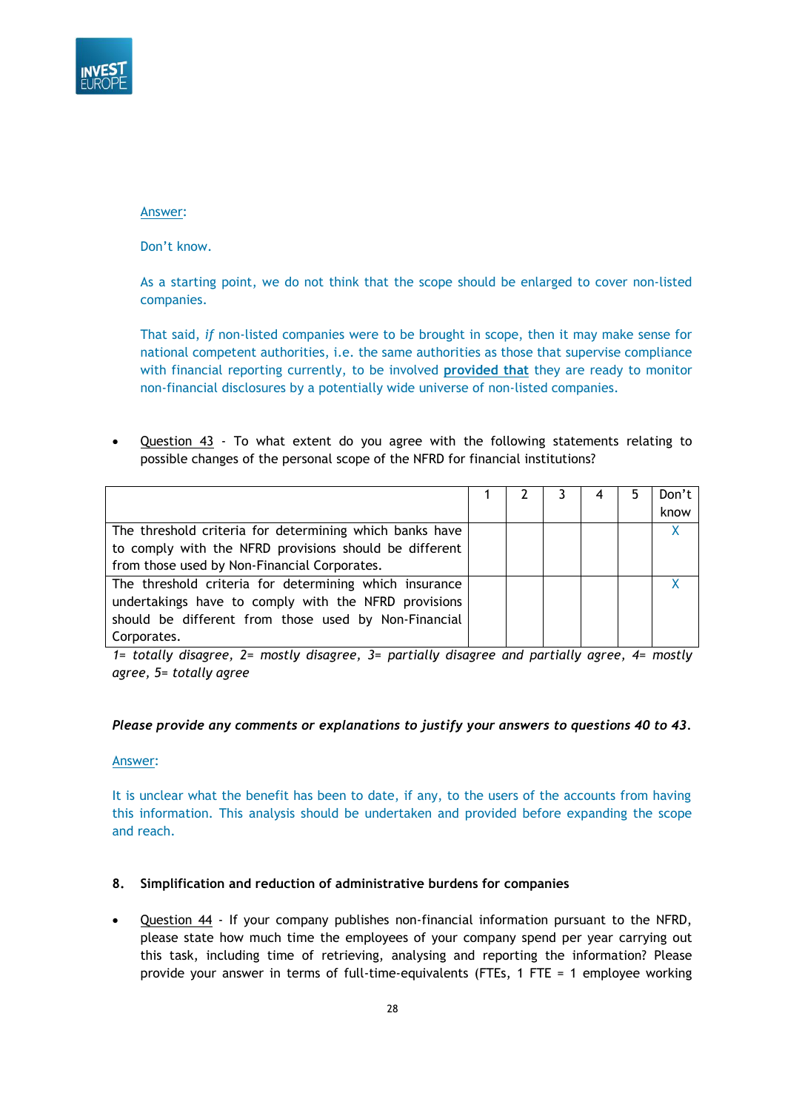

Don't know.

As a starting point, we do not think that the scope should be enlarged to cover non-listed companies.

That said, *if* non-listed companies were to be brought in scope, then it may make sense for national competent authorities, i.e. the same authorities as those that supervise compliance with financial reporting currently, to be involved **provided that** they are ready to monitor non-financial disclosures by a potentially wide universe of non-listed companies.

• Question 43 - To what extent do you agree with the following statements relating to possible changes of the personal scope of the NFRD for financial institutions?

|                                                         |  | 4 | 5 | Don't |
|---------------------------------------------------------|--|---|---|-------|
|                                                         |  |   |   | know  |
| The threshold criteria for determining which banks have |  |   |   |       |
| to comply with the NFRD provisions should be different  |  |   |   |       |
| from those used by Non-Financial Corporates.            |  |   |   |       |
| The threshold criteria for determining which insurance  |  |   |   |       |
| undertakings have to comply with the NFRD provisions    |  |   |   |       |
| should be different from those used by Non-Financial    |  |   |   |       |
| Corporates.                                             |  |   |   |       |

*1= totally disagree, 2= mostly disagree, 3= partially disagree and partially agree, 4= mostly agree, 5= totally agree*

### *Please provide any comments or explanations to justify your answers to questions 40 to 43.*

### Answer:

It is unclear what the benefit has been to date, if any, to the users of the accounts from having this information. This analysis should be undertaken and provided before expanding the scope and reach.

### **8. Simplification and reduction of administrative burdens for companies**

• Question 44 - If your company publishes non-financial information pursuant to the NFRD, please state how much time the employees of your company spend per year carrying out this task, including time of retrieving, analysing and reporting the information? Please provide your answer in terms of full-time-equivalents (FTEs, 1 FTE = 1 employee working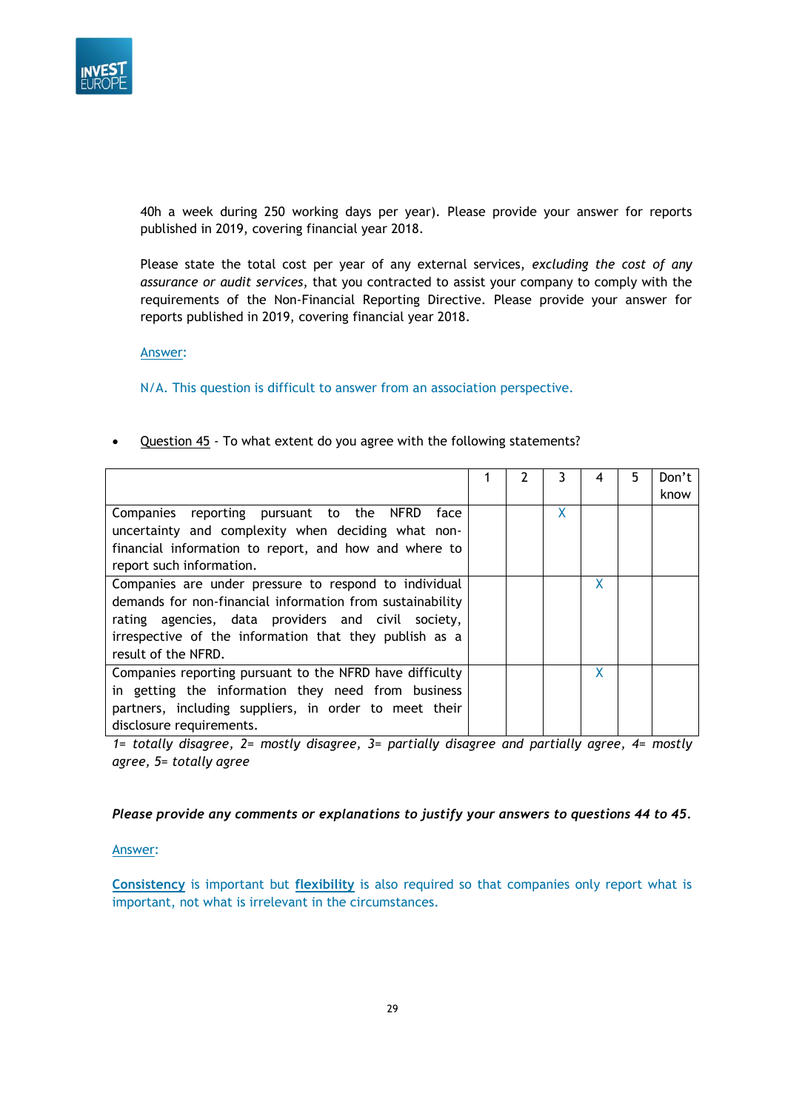

40h a week during 250 working days per year). Please provide your answer for reports published in 2019, covering financial year 2018.

Please state the total cost per year of any external services, *excluding the cost of any assurance or audit services*, that you contracted to assist your company to comply with the requirements of the Non-Financial Reporting Directive. Please provide your answer for reports published in 2019, covering financial year 2018.

Answer:

N/A. This question is difficult to answer from an association perspective.

Question 45 - To what extent do you agree with the following statements?

|                                                           |  | 3 | 4 | 5 | Don't |
|-----------------------------------------------------------|--|---|---|---|-------|
|                                                           |  |   |   |   | know  |
| Companies reporting pursuant to the NFRD<br>face          |  | X |   |   |       |
| uncertainty and complexity when deciding what non-        |  |   |   |   |       |
| financial information to report, and how and where to     |  |   |   |   |       |
| report such information.                                  |  |   |   |   |       |
| Companies are under pressure to respond to individual     |  |   | X |   |       |
| demands for non-financial information from sustainability |  |   |   |   |       |
| rating agencies, data providers and civil society,        |  |   |   |   |       |
| irrespective of the information that they publish as a    |  |   |   |   |       |
| result of the NFRD.                                       |  |   |   |   |       |
| Companies reporting pursuant to the NFRD have difficulty  |  |   | X |   |       |
| in getting the information they need from business        |  |   |   |   |       |
| partners, including suppliers, in order to meet their     |  |   |   |   |       |
| disclosure requirements.                                  |  |   |   |   |       |

*1= totally disagree, 2= mostly disagree, 3= partially disagree and partially agree, 4= mostly agree, 5= totally agree*

*Please provide any comments or explanations to justify your answers to questions 44 to 45.*

#### Answer:

**Consistency** is important but **flexibility** is also required so that companies only report what is important, not what is irrelevant in the circumstances.